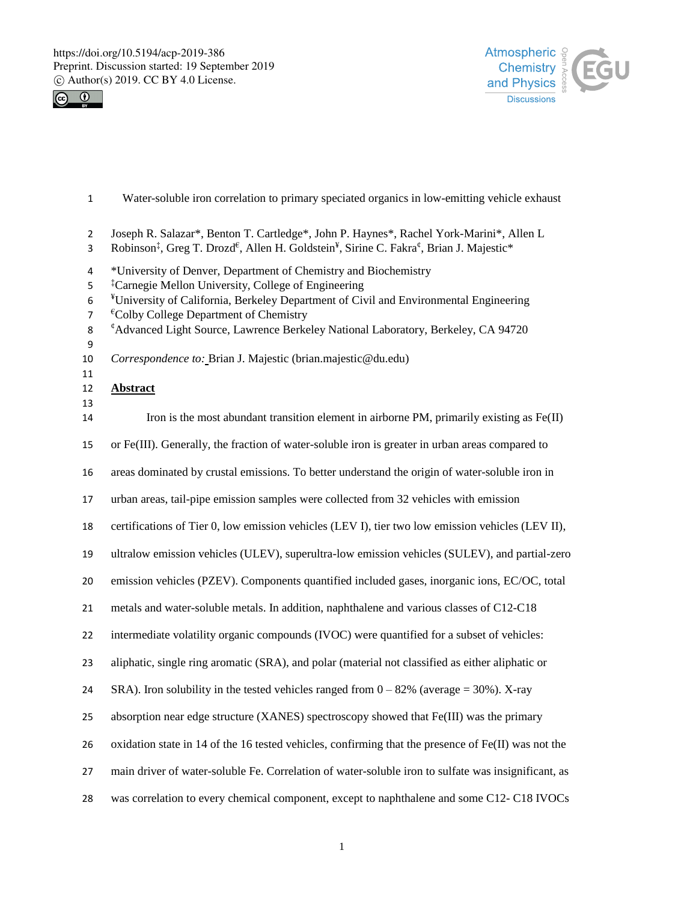



- Water-soluble iron correlation to primary speciated organics in low-emitting vehicle exhaust
- Joseph R. Salazar\*, Benton T. Cartledge\*, John P. Haynes\*, Rachel York-Marini\*, Allen L
- 3 Robinson<sup>‡</sup>, Greg T. Drozd<sup>€</sup>, Allen H. Goldstein<sup>¥</sup>, Sirine C. Fakra<sup>¢</sup>, Brian J. Majestic\*
- \*University of Denver, Department of Chemistry and Biochemistry
- <sup>†</sup> Carnegie Mellon University, College of Engineering
- ¥ University of California, Berkeley Department of Civil and Environmental Engineering
- $7 \text{ }^{6}$ Colby College Department of Chemistry
- ¢ Advanced Light Source, Lawrence Berkeley National Laboratory, Berkeley, CA 94720
- 
- *Correspondence to:* Brian J. Majestic (brian.majestic@du.edu)
- 

# **Abstract**

 or Fe(III). Generally, the fraction of water-soluble iron is greater in urban areas compared to areas dominated by crustal emissions. To better understand the origin of water-soluble iron in

14 Iron is the most abundant transition element in airborne PM, primarily existing as Fe(II)

urban areas, tail-pipe emission samples were collected from 32 vehicles with emission

certifications of Tier 0, low emission vehicles (LEV I), tier two low emission vehicles (LEV II),

ultralow emission vehicles (ULEV), superultra-low emission vehicles (SULEV), and partial-zero

emission vehicles (PZEV). Components quantified included gases, inorganic ions, EC/OC, total

metals and water-soluble metals. In addition, naphthalene and various classes of C12-C18

intermediate volatility organic compounds (IVOC) were quantified for a subset of vehicles:

aliphatic, single ring aromatic (SRA), and polar (material not classified as either aliphatic or

24 SRA). Iron solubility in the tested vehicles ranged from  $0 - 82\%$  (average = 30%). X-ray

absorption near edge structure (XANES) spectroscopy showed that Fe(III) was the primary

oxidation state in 14 of the 16 tested vehicles, confirming that the presence of Fe(II) was not the

main driver of water-soluble Fe. Correlation of water-soluble iron to sulfate was insignificant, as

was correlation to every chemical component, except to naphthalene and some C12- C18 IVOCs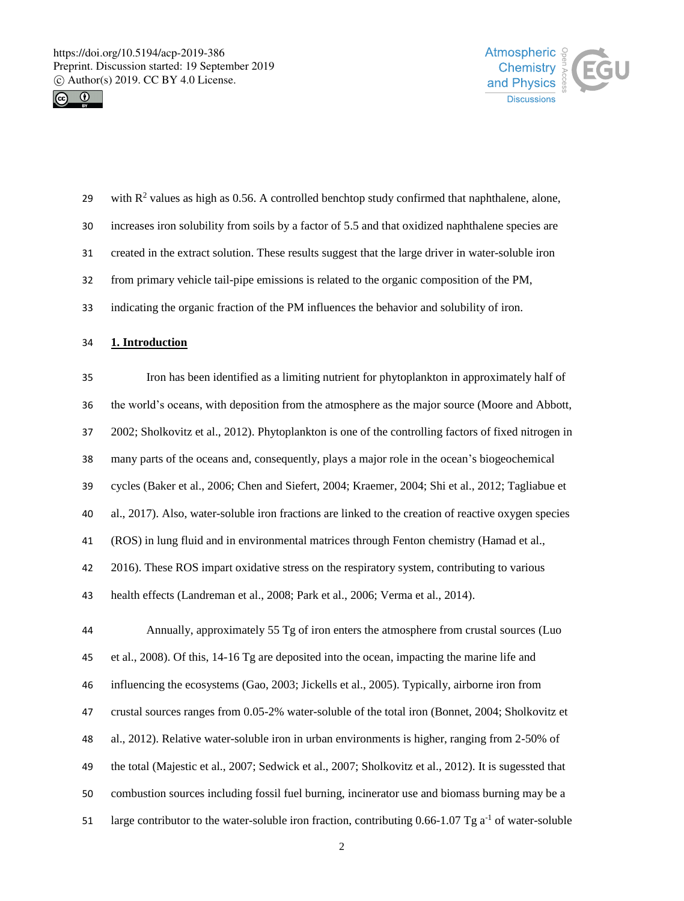



| 29 | with $R^2$ values as high as 0.56. A controlled benchtop study confirmed that naphthalene, alone,  |
|----|----------------------------------------------------------------------------------------------------|
| 30 | increases iron solubility from soils by a factor of 5.5 and that oxidized naphthalene species are  |
| 31 | created in the extract solution. These results suggest that the large driver in water-soluble iron |
| 32 | from primary vehicle tail-pipe emissions is related to the organic composition of the PM,          |
| 33 | indicating the organic fraction of the PM influences the behavior and solubility of iron.          |
| 34 | 1. Introduction                                                                                    |
| 35 | Iron has been identified as a limiting nutrient for phytoplankton in approximately half of         |

 the world's oceans, with deposition from the atmosphere as the major source (Moore and Abbott, 2002; Sholkovitz et al., 2012). Phytoplankton is one of the controlling factors of fixed nitrogen in many parts of the oceans and, consequently, plays a major role in the ocean's biogeochemical cycles (Baker et al., 2006; Chen and Siefert, 2004; Kraemer, 2004; Shi et al., 2012; Tagliabue et al., 2017). Also, water-soluble iron fractions are linked to the creation of reactive oxygen species (ROS) in lung fluid and in environmental matrices through Fenton chemistry (Hamad et al., 2016). These ROS impart oxidative stress on the respiratory system, contributing to various health effects (Landreman et al., 2008; Park et al., 2006; Verma et al., 2014).

 Annually, approximately 55 Tg of iron enters the atmosphere from crustal sources (Luo et al., 2008). Of this, 14-16 Tg are deposited into the ocean, impacting the marine life and influencing the ecosystems (Gao, 2003; Jickells et al., 2005). Typically, airborne iron from crustal sources ranges from 0.05-2% water-soluble of the total iron (Bonnet, 2004; Sholkovitz et al., 2012). Relative water-soluble iron in urban environments is higher, ranging from 2-50% of the total (Majestic et al., 2007; Sedwick et al., 2007; Sholkovitz et al., 2012). It is sugessted that combustion sources including fossil fuel burning, incinerator use and biomass burning may be a 51 large contributor to the water-soluble iron fraction, contributing 0.66-1.07 Tg  $a^{-1}$  of water-soluble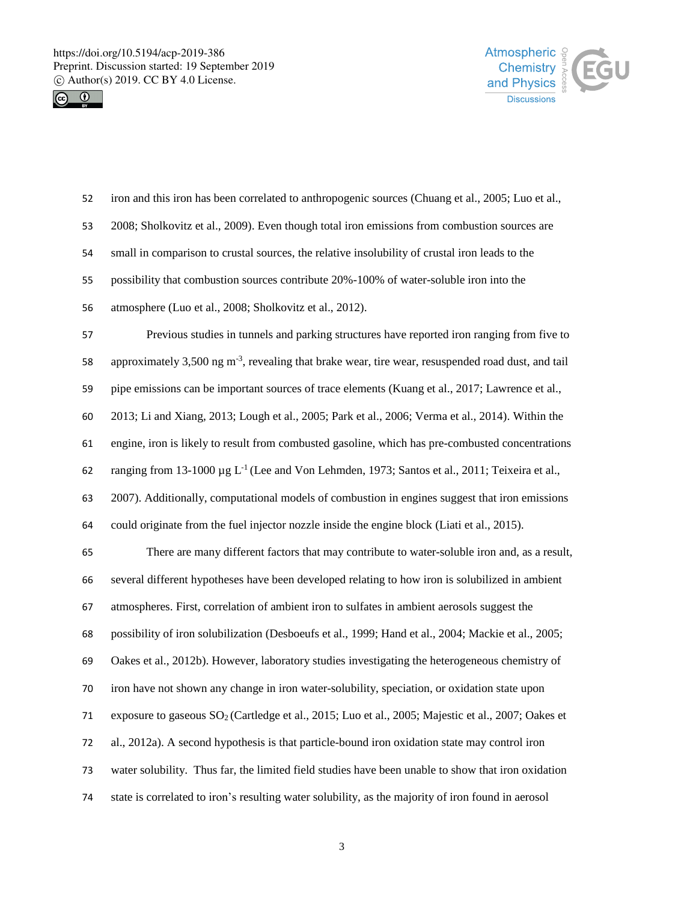



| 52 | iron and this iron has been correlated to anthropogenic sources (Chuang et al., 2005; Luo et al.,              |
|----|----------------------------------------------------------------------------------------------------------------|
| 53 | 2008; Sholkovitz et al., 2009). Even though total iron emissions from combustion sources are                   |
| 54 | small in comparison to crustal sources, the relative insolubility of crustal iron leads to the                 |
| 55 | possibility that combustion sources contribute 20%-100% of water-soluble iron into the                         |
| 56 | atmosphere (Luo et al., 2008; Sholkovitz et al., 2012).                                                        |
| 57 | Previous studies in tunnels and parking structures have reported iron ranging from five to                     |
| 58 | approximately 3,500 ng $m^{-3}$ , revealing that brake wear, tire wear, resuspended road dust, and tail        |
| 59 | pipe emissions can be important sources of trace elements (Kuang et al., 2017; Lawrence et al.,                |
| 60 | 2013; Li and Xiang, 2013; Lough et al., 2005; Park et al., 2006; Verma et al., 2014). Within the               |
| 61 | engine, iron is likely to result from combusted gasoline, which has pre-combusted concentrations               |
| 62 | ranging from 13-1000 $\mu$ g L <sup>-1</sup> (Lee and Von Lehmden, 1973; Santos et al., 2011; Teixeira et al., |
| 63 | 2007). Additionally, computational models of combustion in engines suggest that iron emissions                 |
| 64 | could originate from the fuel injector nozzle inside the engine block (Liati et al., 2015).                    |
| 65 | There are many different factors that may contribute to water-soluble iron and, as a result,                   |
| 66 | several different hypotheses have been developed relating to how iron is solubilized in ambient                |
| 67 | atmospheres. First, correlation of ambient iron to sulfates in ambient aerosols suggest the                    |
| 68 | possibility of iron solubilization (Desboeufs et al., 1999; Hand et al., 2004; Mackie et al., 2005;            |
| 69 | Oakes et al., 2012b). However, laboratory studies investigating the heterogeneous chemistry of                 |
| 70 | iron have not shown any change in iron water-solubility, speciation, or oxidation state upon                   |
| 71 | exposure to gaseous SO <sub>2</sub> (Cartledge et al., 2015; Luo et al., 2005; Majestic et al., 2007; Oakes et |
| 72 | al., 2012a). A second hypothesis is that particle-bound iron oxidation state may control iron                  |
| 73 | water solubility. Thus far, the limited field studies have been unable to show that iron oxidation             |
| 74 | state is correlated to iron's resulting water solubility, as the majority of iron found in aerosol             |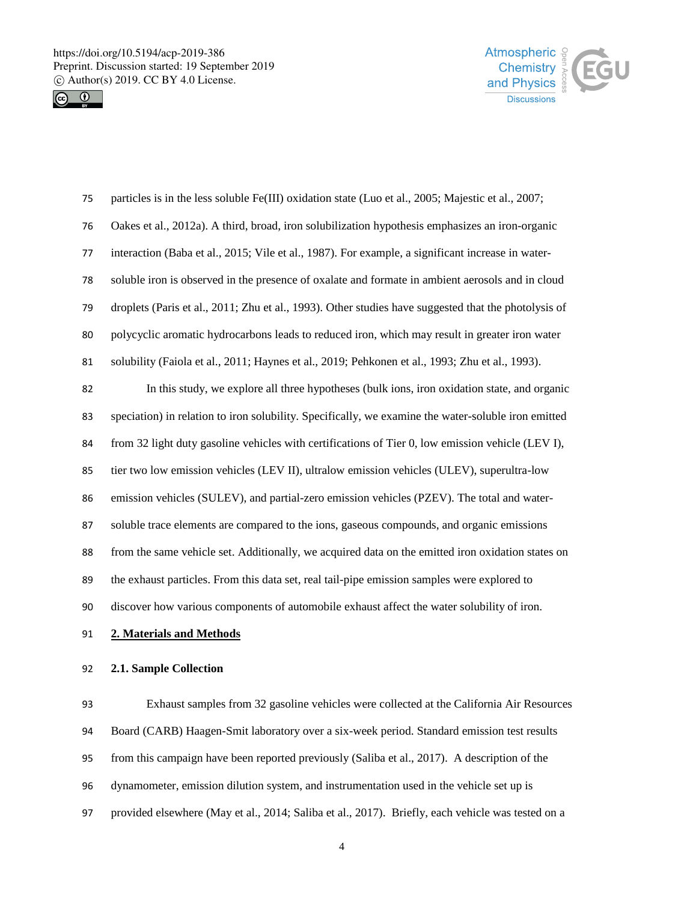



| 75 | particles is in the less soluble Fe(III) oxidation state (Luo et al., 2005; Majestic et al., 2007;   |
|----|------------------------------------------------------------------------------------------------------|
| 76 | Oakes et al., 2012a). A third, broad, iron solubilization hypothesis emphasizes an iron-organic      |
| 77 | interaction (Baba et al., 2015; Vile et al., 1987). For example, a significant increase in water-    |
| 78 | soluble iron is observed in the presence of oxalate and formate in ambient aerosols and in cloud     |
| 79 | droplets (Paris et al., 2011; Zhu et al., 1993). Other studies have suggested that the photolysis of |
| 80 | polycyclic aromatic hydrocarbons leads to reduced iron, which may result in greater iron water       |
| 81 | solubility (Faiola et al., 2011; Haynes et al., 2019; Pehkonen et al., 1993; Zhu et al., 1993).      |
| 82 | In this study, we explore all three hypotheses (bulk ions, iron oxidation state, and organic         |
| 83 | speciation) in relation to iron solubility. Specifically, we examine the water-soluble iron emitted  |
| 84 | from 32 light duty gasoline vehicles with certifications of Tier 0, low emission vehicle (LEV I),    |
| 85 | tier two low emission vehicles (LEV II), ultralow emission vehicles (ULEV), superultra-low           |
| 86 | emission vehicles (SULEV), and partial-zero emission vehicles (PZEV). The total and water-           |
| 87 | soluble trace elements are compared to the ions, gaseous compounds, and organic emissions            |
| 88 | from the same vehicle set. Additionally, we acquired data on the emitted iron oxidation states on    |
| 89 | the exhaust particles. From this data set, real tail-pipe emission samples were explored to          |
| 90 | discover how various components of automobile exhaust affect the water solubility of iron.           |
| 91 | 2. Materials and Methods                                                                             |
| 92 | 2.1. Sample Collection                                                                               |

 Exhaust samples from 32 gasoline vehicles were collected at the California Air Resources Board (CARB) Haagen-Smit laboratory over a six-week period. Standard emission test results from this campaign have been reported previously (Saliba et al., 2017). A description of the dynamometer, emission dilution system, and instrumentation used in the vehicle set up is provided elsewhere (May et al., 2014; Saliba et al., 2017). Briefly, each vehicle was tested on a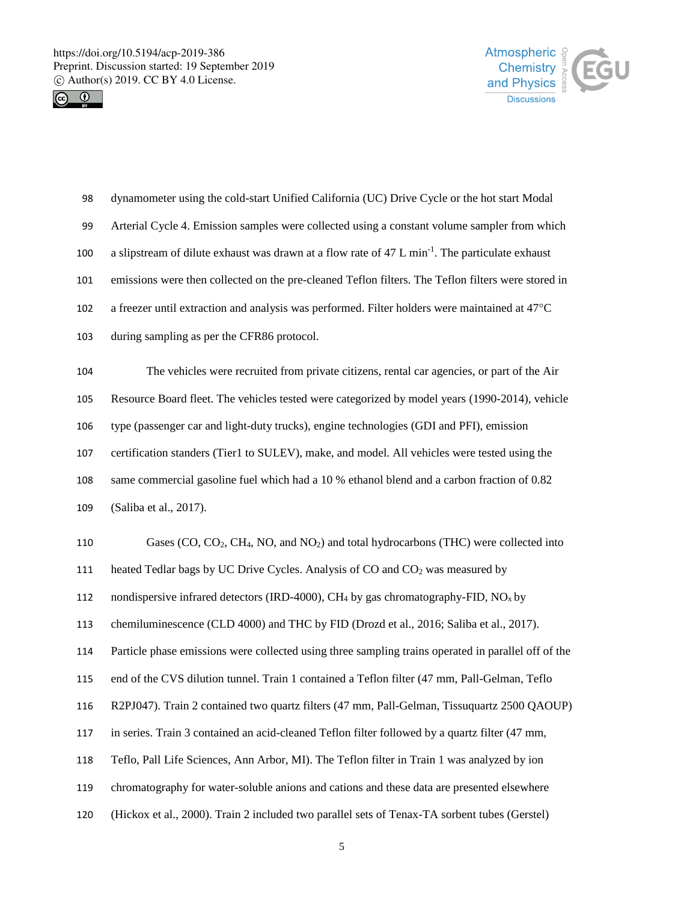



| 98  | dynamometer using the cold-start Unified California (UC) Drive Cycle or the hot start Modal                               |
|-----|---------------------------------------------------------------------------------------------------------------------------|
| 99  | Arterial Cycle 4. Emission samples were collected using a constant volume sampler from which                              |
| 100 | a slipstream of dilute exhaust was drawn at a flow rate of 47 L min <sup>-1</sup> . The particulate exhaust               |
| 101 | emissions were then collected on the pre-cleaned Teflon filters. The Teflon filters were stored in                        |
| 102 | a freezer until extraction and analysis was performed. Filter holders were maintained at 47°C                             |
| 103 | during sampling as per the CFR86 protocol.                                                                                |
| 104 | The vehicles were recruited from private citizens, rental car agencies, or part of the Air                                |
| 105 | Resource Board fleet. The vehicles tested were categorized by model years (1990-2014), vehicle                            |
| 106 | type (passenger car and light-duty trucks), engine technologies (GDI and PFI), emission                                   |
| 107 | certification standers (Tier1 to SULEV), make, and model. All vehicles were tested using the                              |
| 108 | same commercial gasoline fuel which had a 10 % ethanol blend and a carbon fraction of 0.82                                |
| 109 | (Saliba et al., 2017).                                                                                                    |
| 110 | Gases (CO, CO <sub>2</sub> , CH <sub>4</sub> , NO, and NO <sub>2</sub> ) and total hydrocarbons (THC) were collected into |
| 111 | heated Tedlar bags by UC Drive Cycles. Analysis of CO and CO <sub>2</sub> was measured by                                 |
| 112 | nondispersive infrared detectors (IRD-4000), CH <sub>4</sub> by gas chromatography-FID, $NOx$ by                          |
| 113 | chemiluminescence (CLD 4000) and THC by FID (Drozd et al., 2016; Saliba et al., 2017).                                    |
| 114 | Particle phase emissions were collected using three sampling trains operated in parallel off of the                       |
| 115 | end of the CVS dilution tunnel. Train 1 contained a Teflon filter (47 mm, Pall-Gelman, Teflo                              |
| 116 | R2PJ047). Train 2 contained two quartz filters (47 mm, Pall-Gelman, Tissuquartz 2500 QAOUP)                               |
| 117 | in series. Train 3 contained an acid-cleaned Teflon filter followed by a quartz filter (47 mm,                            |
| 118 | Teflo, Pall Life Sciences, Ann Arbor, MI). The Teflon filter in Train 1 was analyzed by ion                               |
| 119 | chromatography for water-soluble anions and cations and these data are presented elsewhere                                |
| 120 | (Hickox et al., 2000). Train 2 included two parallel sets of Tenax-TA sorbent tubes (Gerstel)                             |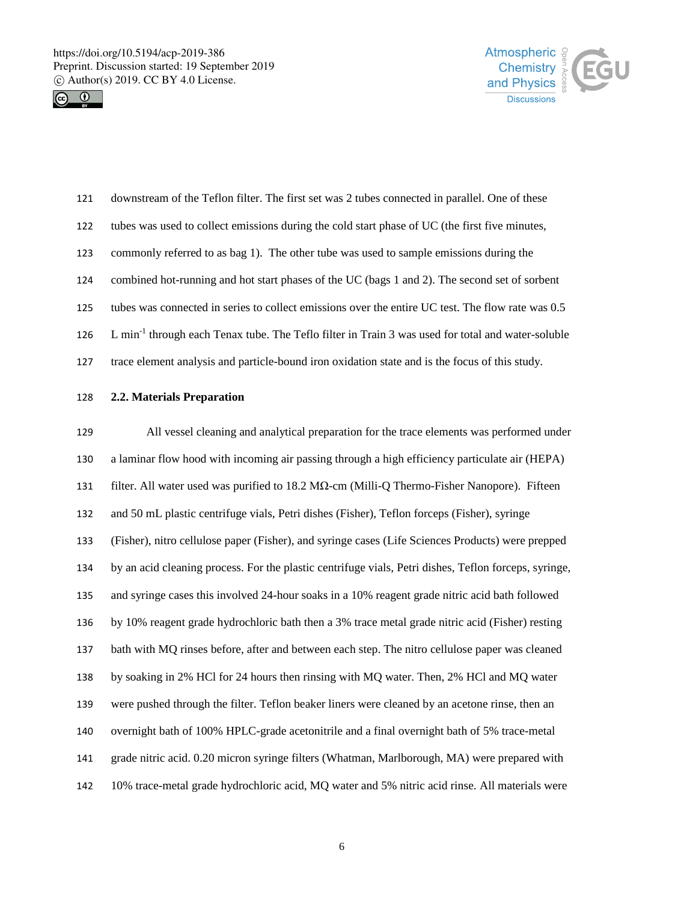



| 121 | downstream of the Teflon filter. The first set was 2 tubes connected in parallel. One of these                |
|-----|---------------------------------------------------------------------------------------------------------------|
| 122 | tubes was used to collect emissions during the cold start phase of UC (the first five minutes,                |
| 123 | commonly referred to as bag 1). The other tube was used to sample emissions during the                        |
| 124 | combined hot-running and hot start phases of the UC (bags 1 and 2). The second set of sorbent                 |
| 125 | tubes was connected in series to collect emissions over the entire UC test. The flow rate was 0.5             |
| 126 | L min <sup>-1</sup> through each Tenax tube. The Teflo filter in Train 3 was used for total and water-soluble |
| 127 | trace element analysis and particle-bound iron oxidation state and is the focus of this study.                |

## **2.2. Materials Preparation**

 All vessel cleaning and analytical preparation for the trace elements was performed under a laminar flow hood with incoming air passing through a high efficiency particulate air (HEPA) filter. All water used was purified to 18.2 MΩ-cm (Milli-Q Thermo-Fisher Nanopore).Fifteen and 50 mL plastic centrifuge vials, Petri dishes (Fisher), Teflon forceps (Fisher), syringe (Fisher), nitro cellulose paper (Fisher), and syringe cases (Life Sciences Products) were prepped by an acid cleaning process. For the plastic centrifuge vials, Petri dishes, Teflon forceps, syringe, and syringe cases this involved 24-hour soaks in a 10% reagent grade nitric acid bath followed by 10% reagent grade hydrochloric bath then a 3% trace metal grade nitric acid (Fisher) resting bath with MQ rinses before, after and between each step. The nitro cellulose paper was cleaned by soaking in 2% HCl for 24 hours then rinsing with MQ water. Then, 2% HCl and MQ water were pushed through the filter. Teflon beaker liners were cleaned by an acetone rinse, then an overnight bath of 100% HPLC-grade acetonitrile and a final overnight bath of 5% trace-metal grade nitric acid. 0.20 micron syringe filters (Whatman, Marlborough, MA) were prepared with 10% trace-metal grade hydrochloric acid, MQ water and 5% nitric acid rinse. All materials were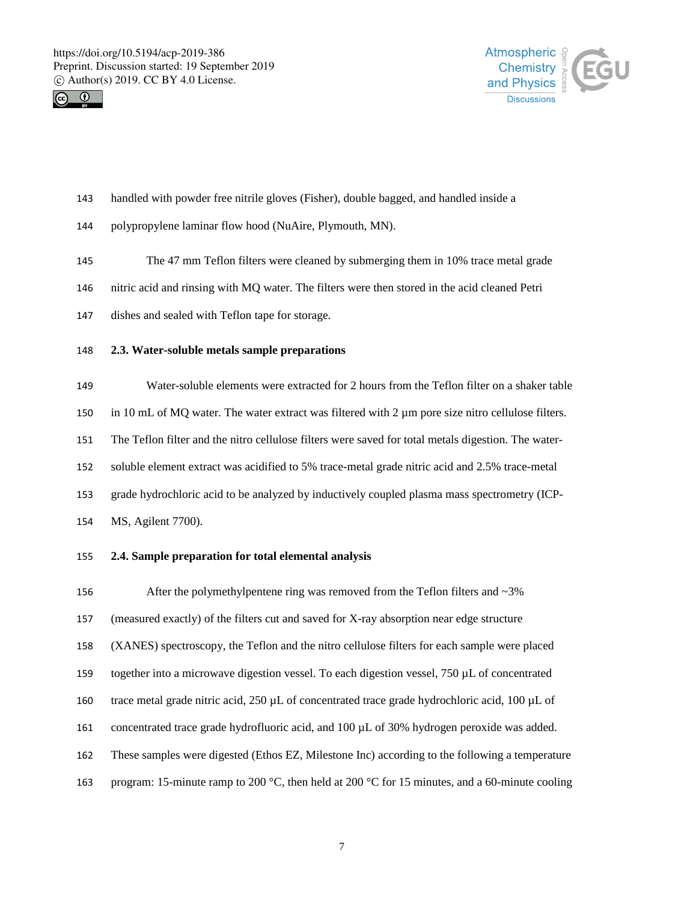



- handled with powder free nitrile gloves (Fisher), double bagged, and handled inside a
- polypropylene laminar flow hood (NuAire, Plymouth, MN).
- The 47 mm Teflon filters were cleaned by submerging them in 10% trace metal grade
- nitric acid and rinsing with MQ water. The filters were then stored in the acid cleaned Petri
- dishes and sealed with Teflon tape for storage.
- **2.3. Water-soluble metals sample preparations**

 Water-soluble elements were extracted for 2 hours from the Teflon filter on a shaker table in 10 mL of MQ water. The water extract was filtered with 2 µm pore size nitro cellulose filters. The Teflon filter and the nitro cellulose filters were saved for total metals digestion. The water- soluble element extract was acidified to 5% trace-metal grade nitric acid and 2.5% trace-metal grade hydrochloric acid to be analyzed by inductively coupled plasma mass spectrometry (ICP-MS, Agilent 7700).

# **2.4. Sample preparation for total elemental analysis**

156 After the polymethylpentene ring was removed from the Teflon filters and ~3% (measured exactly) of the filters cut and saved for X-ray absorption near edge structure (XANES) spectroscopy, the Teflon and the nitro cellulose filters for each sample were placed together into a microwave digestion vessel. To each digestion vessel, 750 µL of concentrated trace metal grade nitric acid, 250 µL of concentrated trace grade hydrochloric acid, 100 µL of concentrated trace grade hydrofluoric acid, and 100 µL of 30% hydrogen peroxide was added. These samples were digested (Ethos EZ, Milestone Inc) according to the following a temperature program: 15-minute ramp to 200 °C, then held at 200 °C for 15 minutes, and a 60-minute cooling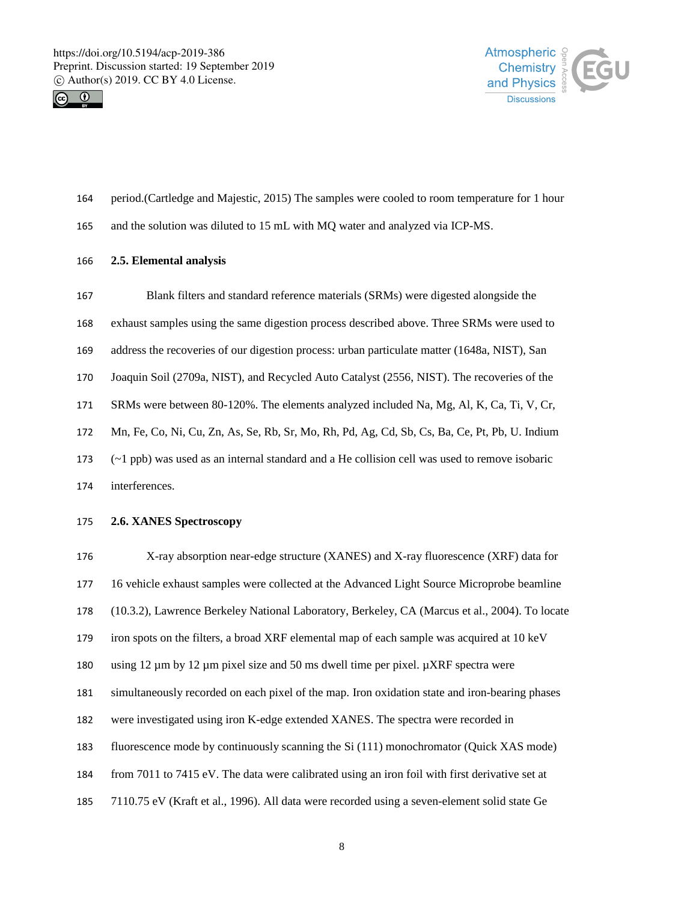



- period.(Cartledge and Majestic, 2015) The samples were cooled to room temperature for 1 hour
- and the solution was diluted to 15 mL with MQ water and analyzed via ICP-MS.

### **2.5. Elemental analysis**

 Blank filters and standard reference materials (SRMs) were digested alongside the exhaust samples using the same digestion process described above. Three SRMs were used to address the recoveries of our digestion process: urban particulate matter (1648a, NIST), San Joaquin Soil (2709a, NIST), and Recycled Auto Catalyst (2556, NIST). The recoveries of the SRMs were between 80-120%. The elements analyzed included Na, Mg, Al, K, Ca, Ti, V, Cr, Mn, Fe, Co, Ni, Cu, Zn, As, Se, Rb, Sr, Mo, Rh, Pd, Ag, Cd, Sb, Cs, Ba, Ce, Pt, Pb, U. Indium (~1 ppb) was used as an internal standard and a He collision cell was used to remove isobaric interferences. **2.6. XANES Spectroscopy**

 X-ray absorption near-edge structure (XANES) and X-ray fluorescence (XRF) data for 16 vehicle exhaust samples were collected at the Advanced Light Source Microprobe beamline (10.3.2), Lawrence Berkeley National Laboratory, Berkeley, CA (Marcus et al., 2004). To locate iron spots on the filters, a broad XRF elemental map of each sample was acquired at 10 keV 180 using  $12 \mu m$  by  $12 \mu m$  pixel size and 50 ms dwell time per pixel.  $\mu XRF$  spectra were simultaneously recorded on each pixel of the map. Iron oxidation state and iron-bearing phases were investigated using iron K-edge extended XANES. The spectra were recorded in fluorescence mode by continuously scanning the Si (111) monochromator (Quick XAS mode) from 7011 to 7415 eV. The data were calibrated using an iron foil with first derivative set at 7110.75 eV (Kraft et al., 1996). All data were recorded using a seven-element solid state Ge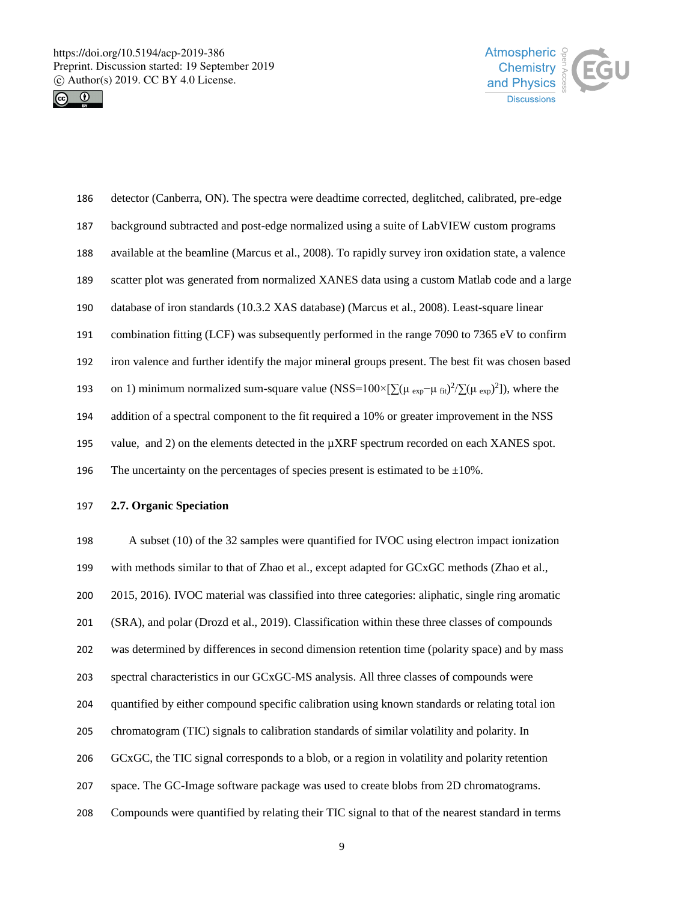



 detector (Canberra, ON). The spectra were deadtime corrected, deglitched, calibrated, pre-edge background subtracted and post-edge normalized using a suite of LabVIEW custom programs available at the beamline (Marcus et al., 2008). To rapidly survey iron oxidation state, a valence scatter plot was generated from normalized XANES data using a custom Matlab code and a large database of iron standards (10.3.2 XAS database) (Marcus et al., 2008). Least-square linear combination fitting (LCF) was subsequently performed in the range 7090 to 7365 eV to confirm iron valence and further identify the major mineral groups present. The best fit was chosen based 193 on 1) minimum normalized sum-square value (NSS=100×[ $\sum (\mu_{exp} - \mu_{fit})^2 / \sum (\mu_{exp}^2)$ ), where the addition of a spectral component to the fit required a 10% or greater improvement in the NSS 195 value, and 2) on the elements detected in the  $\mu$ XRF spectrum recorded on each XANES spot. 196 The uncertainty on the percentages of species present is estimated to be  $\pm 10\%$ .

## **2.7. Organic Speciation**

 A subset (10) of the 32 samples were quantified for IVOC using electron impact ionization with methods similar to that of Zhao et al., except adapted for GCxGC methods (Zhao et al., 2015, 2016). IVOC material was classified into three categories: aliphatic, single ring aromatic (SRA), and polar (Drozd et al., 2019). Classification within these three classes of compounds was determined by differences in second dimension retention time (polarity space) and by mass spectral characteristics in our GCxGC-MS analysis. All three classes of compounds were quantified by either compound specific calibration using known standards or relating total ion chromatogram (TIC) signals to calibration standards of similar volatility and polarity. In GCxGC, the TIC signal corresponds to a blob, or a region in volatility and polarity retention space. The GC-Image software package was used to create blobs from 2D chromatograms. Compounds were quantified by relating their TIC signal to that of the nearest standard in terms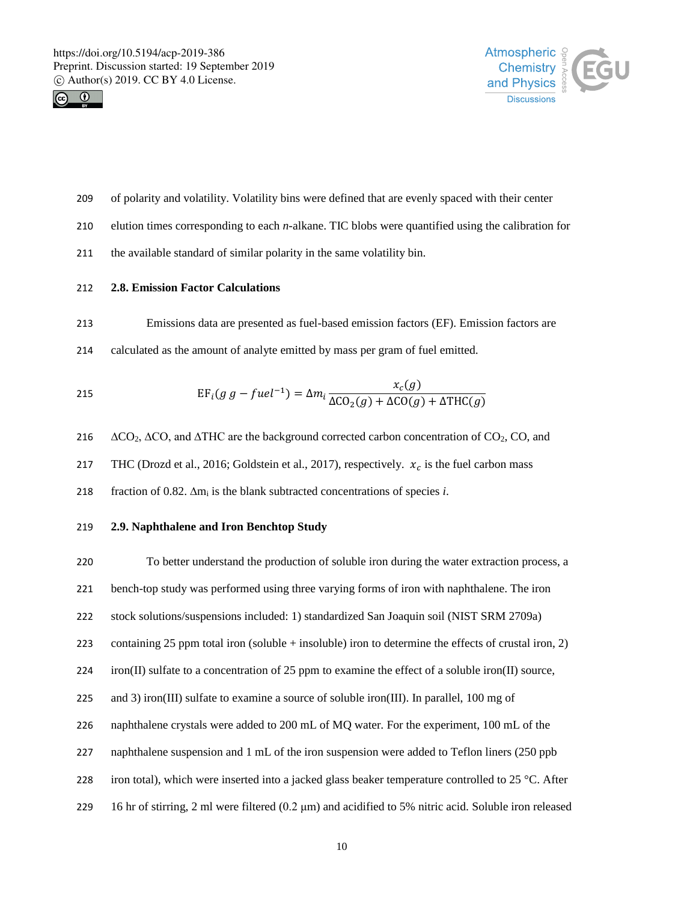



- of polarity and volatility. Volatility bins were defined that are evenly spaced with their center
- elution times corresponding to each *n*-alkane. TIC blobs were quantified using the calibration for
- the available standard of similar polarity in the same volatility bin.

## **2.8. Emission Factor Calculations**

- Emissions data are presented as fuel-based emission factors (EF). Emission factors are
- calculated as the amount of analyte emitted by mass per gram of fuel emitted.

215 
$$
EF_i(g g - fuel^{-1}) = \Delta m_i \frac{x_c(g)}{\Delta CO_2(g) + \Delta CO(g) + \Delta THC(g)}
$$

216  $\Delta CO_2$ ,  $\Delta CO_3$  and  $\Delta THC$  are the background corrected carbon concentration of CO<sub>2</sub>, CO, and

217 THC (Drozd et al., 2016; Goldstein et al., 2017), respectively.  $x_c$  is the fuel carbon mass

fraction of 0.82. ∆m<sup>i</sup> is the blank subtracted concentrations of species *i*.

## **2.9. Naphthalene and Iron Benchtop Study**

 To better understand the production of soluble iron during the water extraction process, a bench-top study was performed using three varying forms of iron with naphthalene. The iron stock solutions/suspensions included: 1) standardized San Joaquin soil (NIST SRM 2709a) containing 25 ppm total iron (soluble + insoluble) iron to determine the effects of crustal iron, 2) iron(II) sulfate to a concentration of 25 ppm to examine the effect of a soluble iron(II) source, 225 and 3) iron(III) sulfate to examine a source of soluble iron(III). In parallel, 100 mg of naphthalene crystals were added to 200 mL of MQ water. For the experiment, 100 mL of the naphthalene suspension and 1 mL of the iron suspension were added to Teflon liners (250 ppb 228 iron total), which were inserted into a jacked glass beaker temperature controlled to 25 °C. After 16 hr of stirring, 2 ml were filtered (0.2 μm) and acidified to 5% nitric acid. Soluble iron released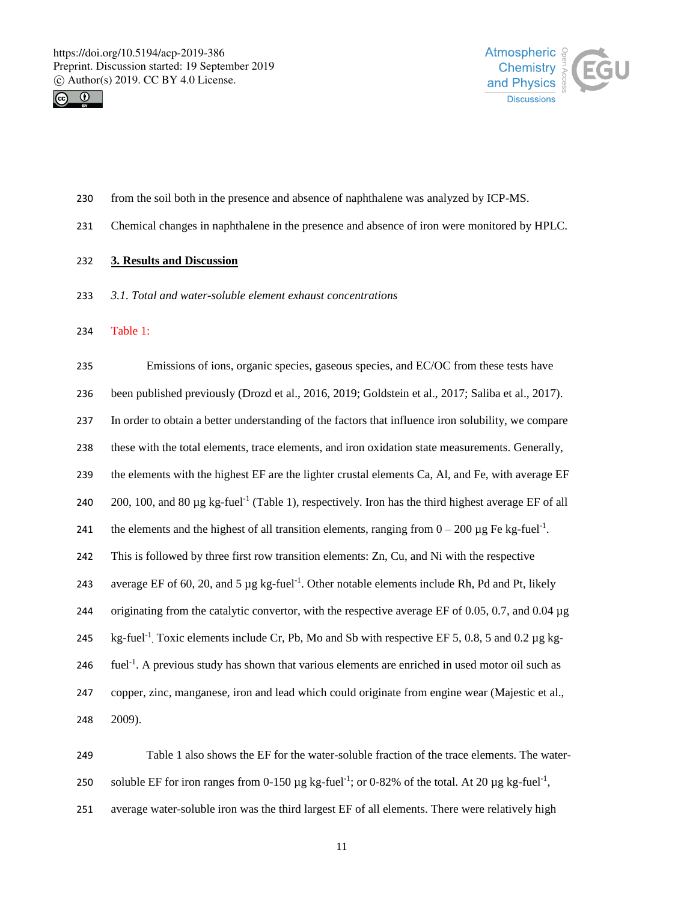



- from the soil both in the presence and absence of naphthalene was analyzed by ICP-MS.
- Chemical changes in naphthalene in the presence and absence of iron were monitored by HPLC.

### **3. Results and Discussion**

- *3.1. Total and water-soluble element exhaust concentrations*
- Table 1:

 Emissions of ions, organic species, gaseous species, and EC/OC from these tests have been published previously (Drozd et al., 2016, 2019; Goldstein et al., 2017; Saliba et al., 2017). In order to obtain a better understanding of the factors that influence iron solubility, we compare these with the total elements, trace elements, and iron oxidation state measurements. Generally, the elements with the highest EF are the lighter crustal elements Ca, Al, and Fe, with average EF 240 200, 100, and 80  $\mu$ g kg-fuel<sup>-1</sup> (Table 1), respectively. Iron has the third highest average EF of all 241 the elements and the highest of all transition elements, ranging from  $0 - 200 \mu g$  Fe kg-fuel<sup>-1</sup>. This is followed by three first row transition elements: Zn, Cu, and Ni with the respective 243 average EF of 60, 20, and 5  $\mu$ g kg-fuel<sup>-1</sup>. Other notable elements include Rh, Pd and Pt, likely originating from the catalytic convertor, with the respective average EF of 0.05, 0.7, and 0.04 µg 245 kg-fuel<sup>-1</sup>. Toxic elements include Cr, Pb, Mo and Sb with respective EF 5, 0.8, 5 and 0.2 µg kg-246 . fuel<sup>-1</sup>. A previous study has shown that various elements are enriched in used motor oil such as copper, zinc, manganese, iron and lead which could originate from engine wear (Majestic et al., 2009).

 Table 1 also shows the EF for the water-soluble fraction of the trace elements. The water-250 soluble EF for iron ranges from 0-150  $\mu$ g kg-fuel<sup>-1</sup>; or 0-82% of the total. At 20  $\mu$ g kg-fuel<sup>-1</sup>, average water-soluble iron was the third largest EF of all elements. There were relatively high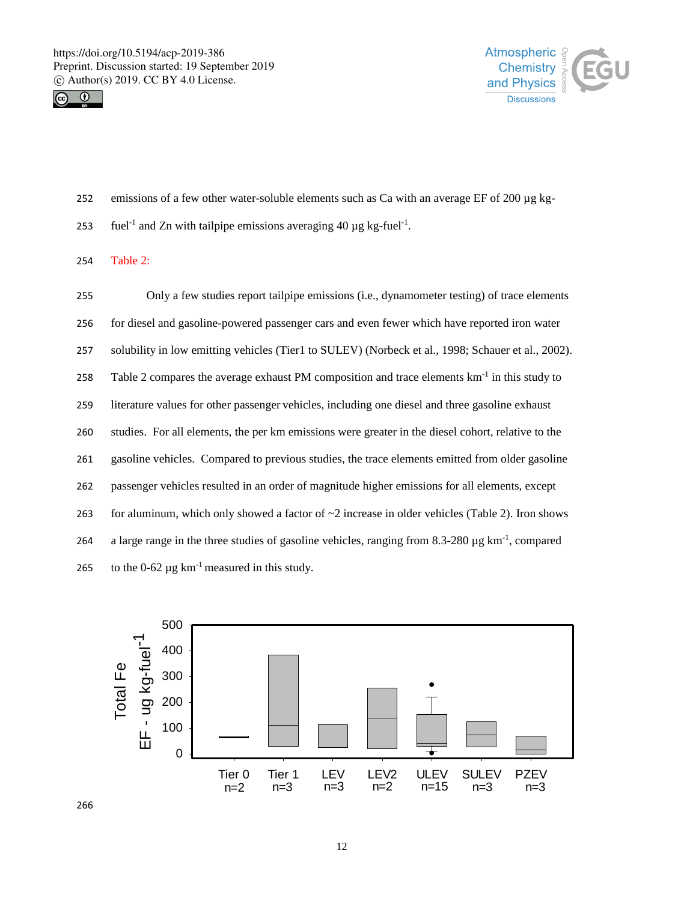



- 252 emissions of a few other water-soluble elements such as Ca with an average EF of 200  $\mu$ g kg-
- 253 fuel<sup>-1</sup> and Zn with tailpipe emissions averaging 40  $\mu$ g kg-fuel<sup>-1</sup>.
- 254 Table 2:

 Only a few studies report tailpipe emissions (i.e., dynamometer testing) of trace elements for diesel and gasoline-powered passenger cars and even fewer which have reported iron water solubility in low emitting vehicles (Tier1 to SULEV) (Norbeck et al., 1998; Schauer et al., 2002). 258 Table 2 compares the average exhaust PM composition and trace elements  $km^{-1}$  in this study to literature values for other passenger vehicles, including one diesel and three gasoline exhaust studies. For all elements, the per km emissions were greater in the diesel cohort, relative to the gasoline vehicles. Compared to previous studies, the trace elements emitted from older gasoline passenger vehicles resulted in an order of magnitude higher emissions for all elements, except 263 for aluminum, which only showed a factor of  $\sim$ 2 increase in older vehicles (Table 2). Iron shows 264 a large range in the three studies of gasoline vehicles, ranging from  $8.3-280 \mu$ g km<sup>-1</sup>, compared 265 to the  $0-62 \mu g \text{ km}^{-1}$  measured in this study.

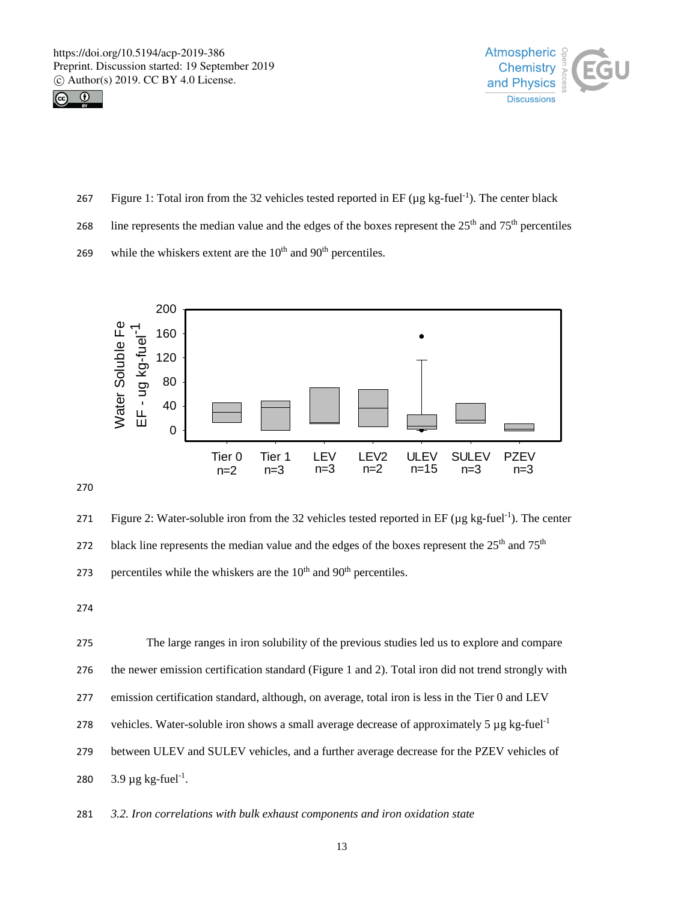



- 267 Figure 1: Total iron from the 32 vehicles tested reported in  $EF (\mu g kg$ -fuel<sup>-1</sup>). The center black
- 268 line represents the median value and the edges of the boxes represent the  $25<sup>th</sup>$  and  $75<sup>th</sup>$  percentiles
- 269 while the whiskers extent are the  $10<sup>th</sup>$  and  $90<sup>th</sup>$  percentiles.



270

271 Figure 2: Water-soluble iron from the 32 vehicles tested reported in EF ( $\mu$ g kg-fuel<sup>-1</sup>). The center 272 black line represents the median value and the edges of the boxes represent the  $25<sup>th</sup>$  and  $75<sup>th</sup>$ 273 percentiles while the whiskers are the  $10<sup>th</sup>$  and  $90<sup>th</sup>$  percentiles.

274

 The large ranges in iron solubility of the previous studies led us to explore and compare the newer emission certification standard (Figure 1 and 2). Total iron did not trend strongly with emission certification standard, although, on average, total iron is less in the Tier 0 and LEV 278 vehicles. Water-soluble iron shows a small average decrease of approximately 5  $\mu$ g kg-fuel<sup>-1</sup> between ULEV and SULEV vehicles, and a further average decrease for the PZEV vehicles of  $3.9 \mu g$  kg-fuel<sup>-1</sup>.

281 *3.2. Iron correlations with bulk exhaust components and iron oxidation state*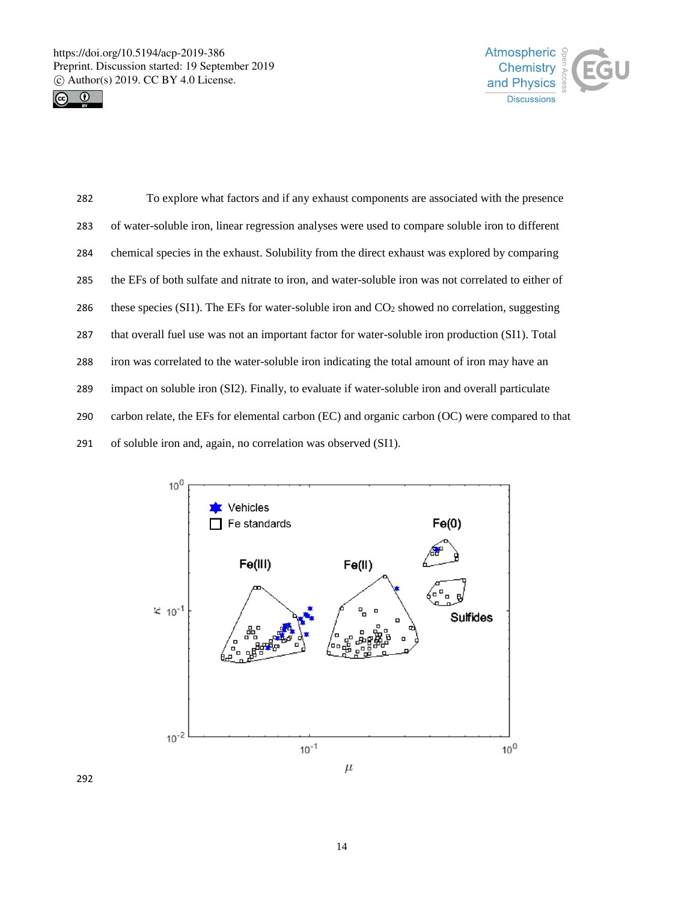



 To explore what factors and if any exhaust components are associated with the presence of water-soluble iron, linear regression analyses were used to compare soluble iron to different chemical species in the exhaust. Solubility from the direct exhaust was explored by comparing the EFs of both sulfate and nitrate to iron, and water-soluble iron was not correlated to either of 286 these species (SI1). The EFs for water-soluble iron and  $CO<sub>2</sub>$  showed no correlation, suggesting that overall fuel use was not an important factor for water-soluble iron production (SI1). Total iron was correlated to the water-soluble iron indicating the total amount of iron may have an impact on soluble iron (SI2). Finally, to evaluate if water-soluble iron and overall particulate carbon relate, the EFs for elemental carbon (EC) and organic carbon (OC) were compared to that of soluble iron and, again, no correlation was observed (SI1).

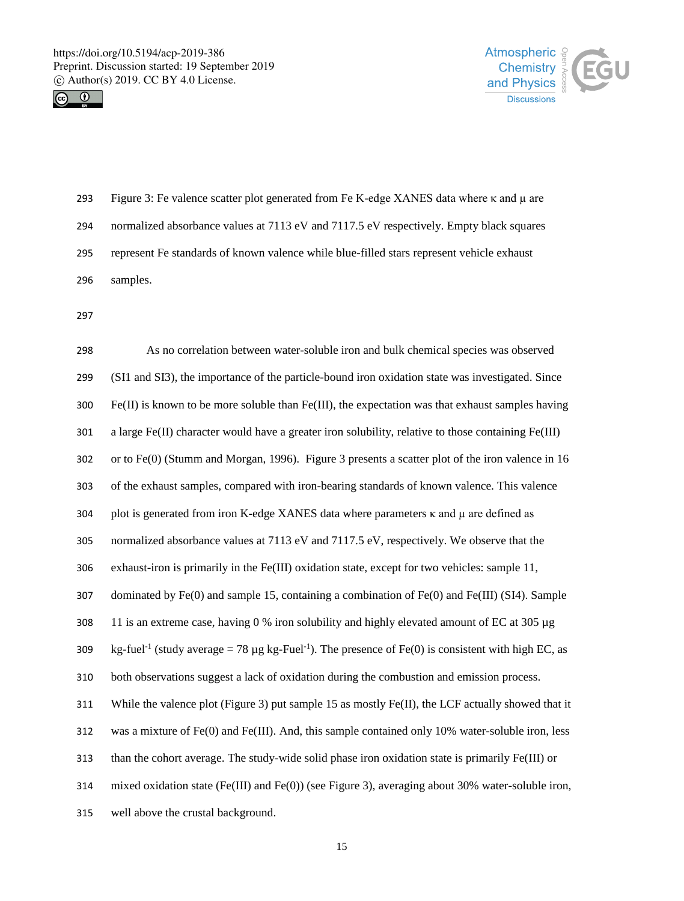



| 293 | Figure 3: Fe valence scatter plot generated from Fe K-edge XANES data where $\kappa$ and $\mu$ are |
|-----|----------------------------------------------------------------------------------------------------|
| 294 | normalized absorbance values at 7113 eV and 7117.5 eV respectively. Empty black squares            |
| 295 | represent Fe standards of known valence while blue-filled stars represent vehicle exhaust          |
| 296 | samples.                                                                                           |

| 298 | As no correlation between water-soluble iron and bulk chemical species was observed                                        |
|-----|----------------------------------------------------------------------------------------------------------------------------|
| 299 | (SI1 and SI3), the importance of the particle-bound iron oxidation state was investigated. Since                           |
| 300 | $Fe(II)$ is known to be more soluble than $Fe(III)$ , the expectation was that exhaust samples having                      |
| 301 | a large $Fe(II)$ character would have a greater iron solubility, relative to those containing $Fe(III)$                    |
| 302 | or to Fe(0) (Stumm and Morgan, 1996). Figure 3 presents a scatter plot of the iron valence in 16                           |
| 303 | of the exhaust samples, compared with iron-bearing standards of known valence. This valence                                |
| 304 | plot is generated from iron K-edge XANES data where parameters $\kappa$ and $\mu$ are defined as                           |
| 305 | normalized absorbance values at 7113 eV and 7117.5 eV, respectively. We observe that the                                   |
| 306 | exhaust-iron is primarily in the Fe(III) oxidation state, except for two vehicles: sample 11,                              |
| 307 | dominated by $Fe(0)$ and sample 15, containing a combination of $Fe(0)$ and $Fe(III)$ (SI4). Sample                        |
| 308 | 11 is an extreme case, having 0 % iron solubility and highly elevated amount of EC at 305 µg                               |
| 309 | kg-fuel <sup>-1</sup> (study average = 78 µg kg-Fuel <sup>-1</sup> ). The presence of Fe(0) is consistent with high EC, as |
| 310 | both observations suggest a lack of oxidation during the combustion and emission process.                                  |
| 311 | While the valence plot (Figure 3) put sample 15 as mostly Fe(II), the LCF actually showed that it                          |
| 312 | was a mixture of $Fe(0)$ and $Fe(III)$ . And, this sample contained only 10% water-soluble iron, less                      |
| 313 | than the cohort average. The study-wide solid phase iron oxidation state is primarily Fe(III) or                           |
| 314 | mixed oxidation state (Fe(III) and Fe(0)) (see Figure 3), averaging about 30% water-soluble iron,                          |
| 315 | well above the crustal background.                                                                                         |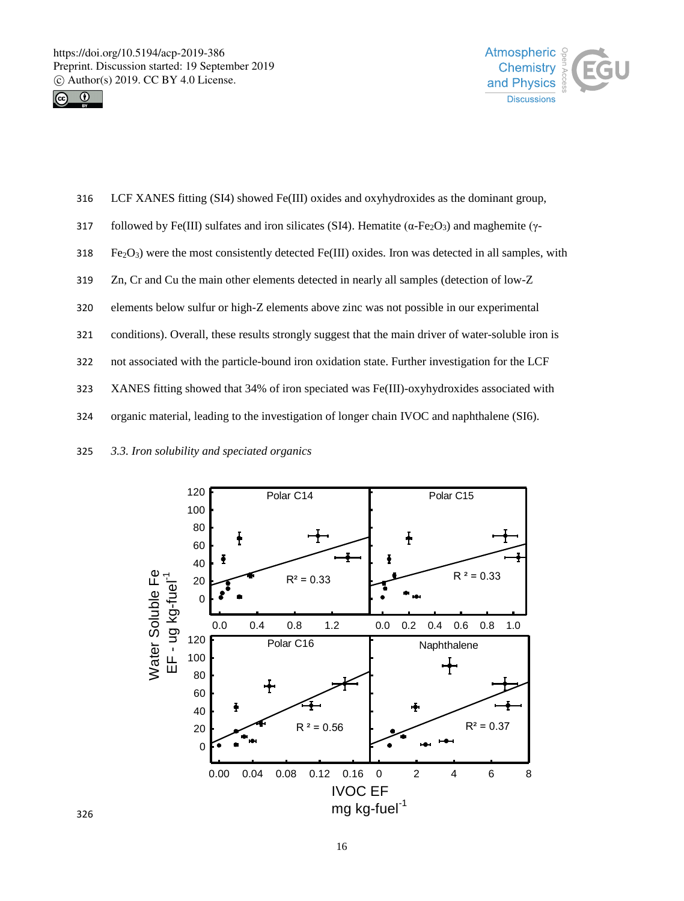



- 316 LCF XANES fitting (SI4) showed Fe(III) oxides and oxyhydroxides as the dominant group,
- 317 followed by Fe(III) sulfates and iron silicates (SI4). Hematite ( $\alpha$ -Fe<sub>2</sub>O<sub>3</sub>) and maghemite (γ-
- $Fe<sub>2</sub>O<sub>3</sub>$ ) were the most consistently detected Fe(III) oxides. Iron was detected in all samples, with
- 319 Zn, Cr and Cu the main other elements detected in nearly all samples (detection of low-Z
- 320 elements below sulfur or high-Z elements above zinc was not possible in our experimental
- 321 conditions). Overall, these results strongly suggest that the main driver of water-soluble iron is
- 322 not associated with the particle-bound iron oxidation state. Further investigation for the LCF
- 323 XANES fitting showed that 34% of iron speciated was Fe(III)-oxyhydroxides associated with
- 324 organic material, leading to the investigation of longer chain IVOC and naphthalene (SI6).
- 325 *3.3. Iron solubility and speciated organics*

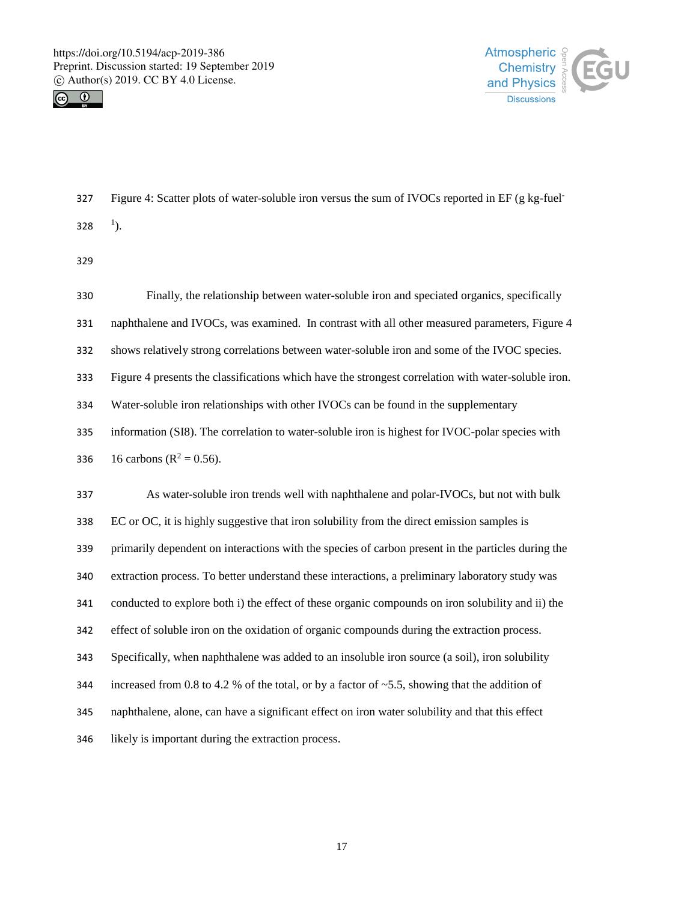



Figure 4: Scatter plots of water-soluble iron versus the sum of IVOCs reported in EF (g kg-fuel- 328 ).

| 330 | Finally, the relationship between water-soluble iron and speciated organics, specifically            |
|-----|------------------------------------------------------------------------------------------------------|
| 331 | naphthalene and IVOCs, was examined. In contrast with all other measured parameters, Figure 4        |
| 332 | shows relatively strong correlations between water-soluble iron and some of the IVOC species.        |
| 333 | Figure 4 presents the classifications which have the strongest correlation with water-soluble iron.  |
| 334 | Water-soluble iron relationships with other IVOCs can be found in the supplementary                  |
| 335 | information (SI8). The correlation to water-soluble iron is highest for IVOC-polar species with      |
| 336 | 16 carbons ( $R^2 = 0.56$ ).                                                                         |
| 337 | As water-soluble iron trends well with naphthalene and polar-IVOCs, but not with bulk                |
| 338 | EC or OC, it is highly suggestive that iron solubility from the direct emission samples is           |
| 339 | primarily dependent on interactions with the species of carbon present in the particles during the   |
| 340 | extraction process. To better understand these interactions, a preliminary laboratory study was      |
| 341 | conducted to explore both i) the effect of these organic compounds on iron solubility and ii) the    |
| 342 | effect of soluble iron on the oxidation of organic compounds during the extraction process.          |
| 343 | Specifically, when naphthalene was added to an insoluble iron source (a soil), iron solubility       |
| 344 | increased from 0.8 to 4.2 % of the total, or by a factor of $\sim$ 5.5, showing that the addition of |
| 345 | naphthalene, alone, can have a significant effect on iron water solubility and that this effect      |
| 346 | likely is important during the extraction process.                                                   |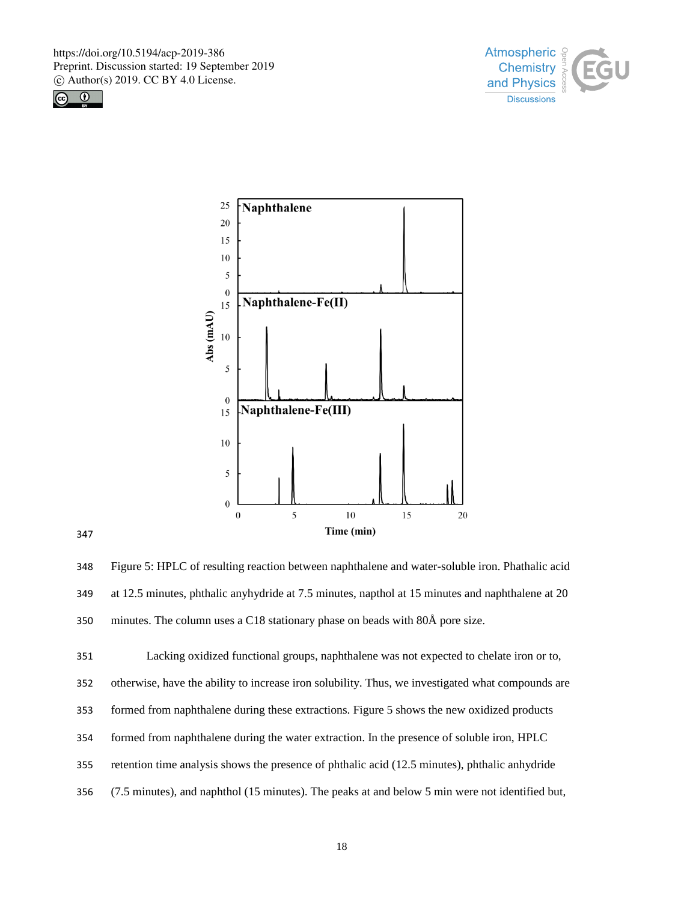





 Figure 5: HPLC of resulting reaction between naphthalene and water-soluble iron. Phathalic acid at 12.5 minutes, phthalic anyhydride at 7.5 minutes, napthol at 15 minutes and naphthalene at 20 minutes. The column uses a C18 stationary phase on beads with 80Å pore size.

Lacking oxidized functional groups, naphthalene was not expected to chelate iron or to,

otherwise, have the ability to increase iron solubility. Thus, we investigated what compounds are

formed from naphthalene during these extractions. Figure 5 shows the new oxidized products

- formed from naphthalene during the water extraction. In the presence of soluble iron, HPLC
- retention time analysis shows the presence of phthalic acid (12.5 minutes), phthalic anhydride
- (7.5 minutes), and naphthol (15 minutes). The peaks at and below 5 min were not identified but,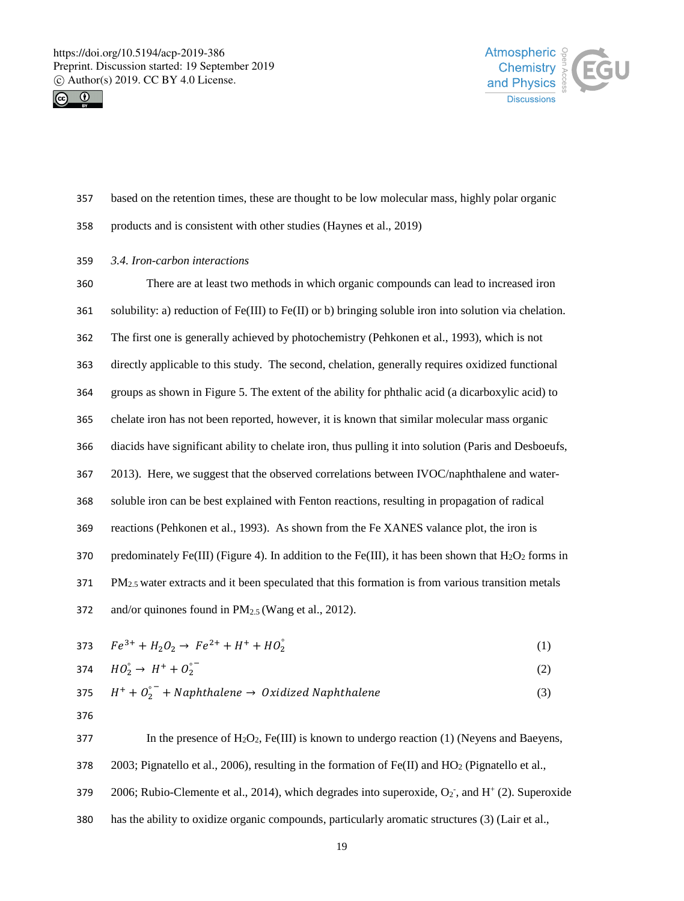



- 357 based on the retention times, these are thought to be low molecular mass, highly polar organic
- 358 products and is consistent with other studies (Haynes et al., 2019)
- 359 *3.4. Iron-carbon interactions*

 There are at least two methods in which organic compounds can lead to increased iron solubility: a) reduction of Fe(III) to Fe(II) or b) bringing soluble iron into solution via chelation. The first one is generally achieved by photochemistry (Pehkonen et al., 1993), which is not directly applicable to this study. The second, chelation, generally requires oxidized functional groups as shown in Figure 5. The extent of the ability for phthalic acid (a dicarboxylic acid) to chelate iron has not been reported, however, it is known that similar molecular mass organic diacids have significant ability to chelate iron, thus pulling it into solution (Paris and Desboeufs, 2013). Here, we suggest that the observed correlations between IVOC/naphthalene and water- soluble iron can be best explained with Fenton reactions, resulting in propagation of radical reactions (Pehkonen et al., 1993). As shown from the Fe XANES valance plot, the iron is 370 predominately Fe(III) (Figure 4). In addition to the Fe(III), it has been shown that  $H_2O_2$  forms in PM<sub>2.5</sub> water extracts and it been speculated that this formation is from various transition metals 372 and/or quinones found in  $PM_{2.5}$  (Wang et al., 2012).

373  $Fe^{3+} + H_2O_2 \rightarrow Fe^{2+} + H^+ + HO_2^{\circ}$  (1)

$$
374 \tHO_2^{\circ} \to H^+ + O_2^{\circ} \t(2)
$$

375 
$$
H^+ + O_2^{\circ^-}
$$
 + Naphthalene  $\rightarrow$  Oxidized Naphthalene (3)

376

377 In the presence of  $H_2O_2$ , Fe(III) is known to undergo reaction (1) (Neyens and Baeyens, 378 2003; Pignatello et al., 2006), resulting in the formation of Fe(II) and  $HO_2$  (Pignatello et al.,

- 379 2006; Rubio-Clemente et al., 2014), which degrades into superoxide,  $O_2$ <sup>-</sup>, and  $H^+(2)$ . Superoxide
- 380 has the ability to oxidize organic compounds, particularly aromatic structures (3) (Lair et al.,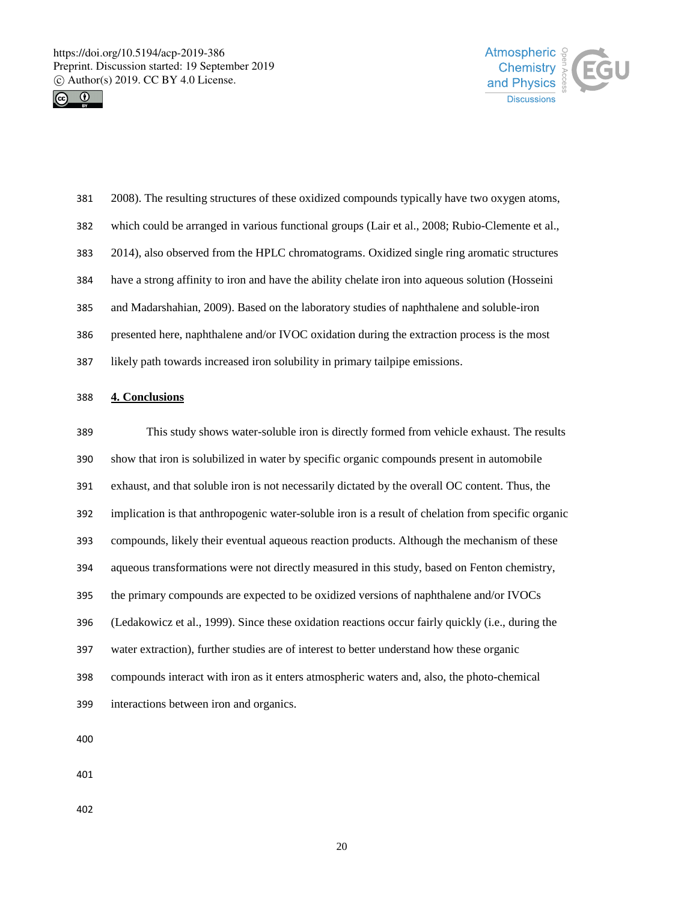



| 381 | 2008). The resulting structures of these oxidized compounds typically have two oxygen atoms,     |
|-----|--------------------------------------------------------------------------------------------------|
| 382 | which could be arranged in various functional groups (Lair et al., 2008; Rubio-Clemente et al.,  |
| 383 | 2014), also observed from the HPLC chromatograms. Oxidized single ring aromatic structures       |
| 384 | have a strong affinity to iron and have the ability chelate iron into aqueous solution (Hosseini |
| 385 | and Madarshahian, 2009). Based on the laboratory studies of naphthalene and soluble-iron         |
| 386 | presented here, naphthalene and/or IVOC oxidation during the extraction process is the most      |
| 387 | likely path towards increased iron solubility in primary tail pipe emissions.                    |

# **4. Conclusions**

| 389                      | This study shows water-soluble iron is directly formed from vehicle exhaust. The results            |
|--------------------------|-----------------------------------------------------------------------------------------------------|
| 390                      | show that iron is solubilized in water by specific organic compounds present in automobile          |
| 391                      | exhaust, and that soluble iron is not necessarily dictated by the overall OC content. Thus, the     |
| 392                      | implication is that anthropogenic water-soluble iron is a result of chelation from specific organic |
| 393                      | compounds, likely their eventual aqueous reaction products. Although the mechanism of these         |
| 394                      | aqueous transformations were not directly measured in this study, based on Fenton chemistry,        |
| 395                      | the primary compounds are expected to be oxidized versions of naphthalene and/or IVOCs              |
| 396                      | (Ledakowicz et al., 1999). Since these oxidation reactions occur fairly quickly (i.e., during the   |
| 397                      | water extraction), further studies are of interest to better understand how these organic           |
| 398                      | compounds interact with iron as it enters atmospheric waters and, also, the photo-chemical          |
| 399                      | interactions between iron and organics.                                                             |
| $\overline{\phantom{a}}$ |                                                                                                     |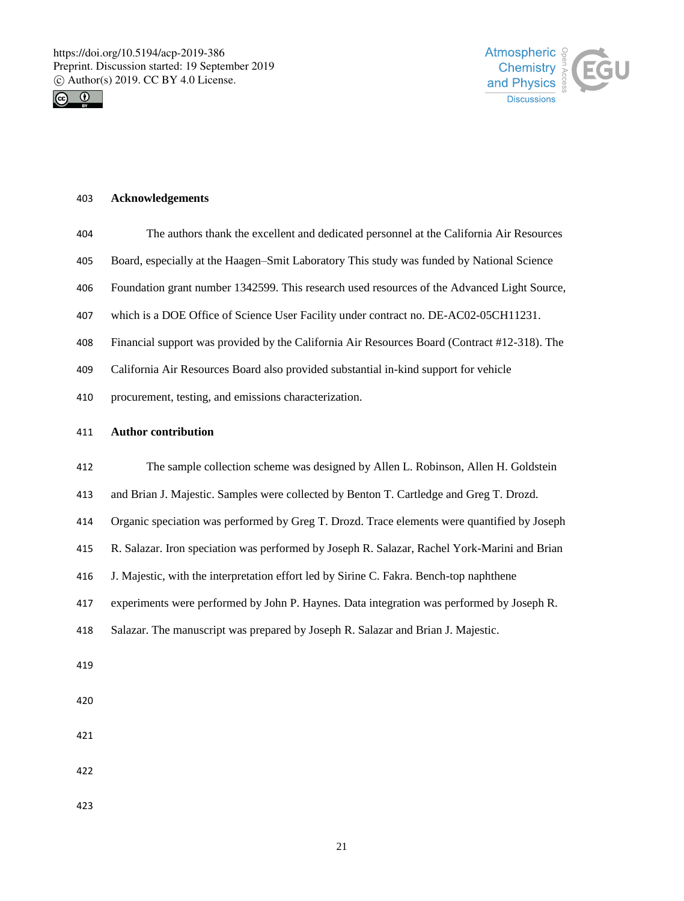



#### **Acknowledgements**

- The authors thank the excellent and dedicated personnel at the California Air Resources
- Board, especially at the Haagen–Smit Laboratory This study was funded by National Science
- Foundation grant number 1342599. This research used resources of the Advanced Light Source,
- which is a DOE Office of Science User Facility under contract no. DE-AC02-05CH11231.
- Financial support was provided by the California Air Resources Board (Contract #12-318). The
- California Air Resources Board also provided substantial in-kind support for vehicle
- procurement, testing, and emissions characterization.

#### **Author contribution**

- The sample collection scheme was designed by Allen L. Robinson, Allen H. Goldstein
- and Brian J. Majestic. Samples were collected by Benton T. Cartledge and Greg T. Drozd.
- Organic speciation was performed by Greg T. Drozd. Trace elements were quantified by Joseph
- R. Salazar. Iron speciation was performed by Joseph R. Salazar, Rachel York-Marini and Brian
- J. Majestic, with the interpretation effort led by Sirine C. Fakra. Bench-top naphthene
- experiments were performed by John P. Haynes. Data integration was performed by Joseph R.
- Salazar. The manuscript was prepared by Joseph R. Salazar and Brian J. Majestic.
- 
- 
- 
- 
- 
-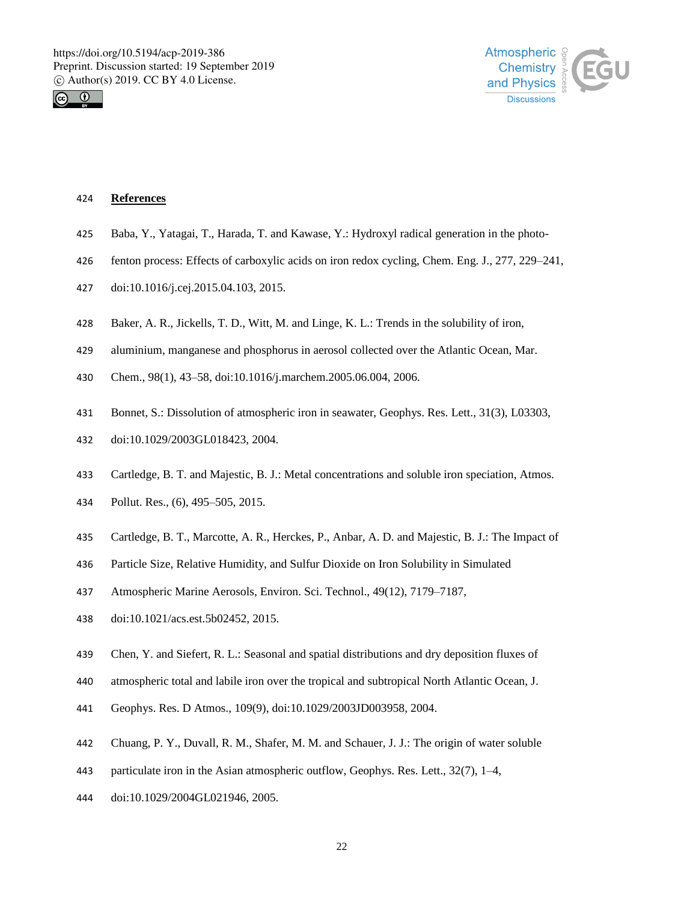



#### **References**

- Baba, Y., Yatagai, T., Harada, T. and Kawase, Y.: Hydroxyl radical generation in the photo-
- fenton process: Effects of carboxylic acids on iron redox cycling, Chem. Eng. J., 277, 229–241,
- doi:10.1016/j.cej.2015.04.103, 2015.
- Baker, A. R., Jickells, T. D., Witt, M. and Linge, K. L.: Trends in the solubility of iron,
- aluminium, manganese and phosphorus in aerosol collected over the Atlantic Ocean, Mar.
- Chem., 98(1), 43–58, doi:10.1016/j.marchem.2005.06.004, 2006.
- Bonnet, S.: Dissolution of atmospheric iron in seawater, Geophys. Res. Lett., 31(3), L03303,
- doi:10.1029/2003GL018423, 2004.
- Cartledge, B. T. and Majestic, B. J.: Metal concentrations and soluble iron speciation, Atmos.
- Pollut. Res., (6), 495–505, 2015.
- Cartledge, B. T., Marcotte, A. R., Herckes, P., Anbar, A. D. and Majestic, B. J.: The Impact of
- Particle Size, Relative Humidity, and Sulfur Dioxide on Iron Solubility in Simulated
- Atmospheric Marine Aerosols, Environ. Sci. Technol., 49(12), 7179–7187,
- doi:10.1021/acs.est.5b02452, 2015.
- Chen, Y. and Siefert, R. L.: Seasonal and spatial distributions and dry deposition fluxes of
- atmospheric total and labile iron over the tropical and subtropical North Atlantic Ocean, J.
- Geophys. Res. D Atmos., 109(9), doi:10.1029/2003JD003958, 2004.
- Chuang, P. Y., Duvall, R. M., Shafer, M. M. and Schauer, J. J.: The origin of water soluble
- 443 particulate iron in the Asian atmospheric outflow, Geophys. Res. Lett., 32(7), 1–4,
- doi:10.1029/2004GL021946, 2005.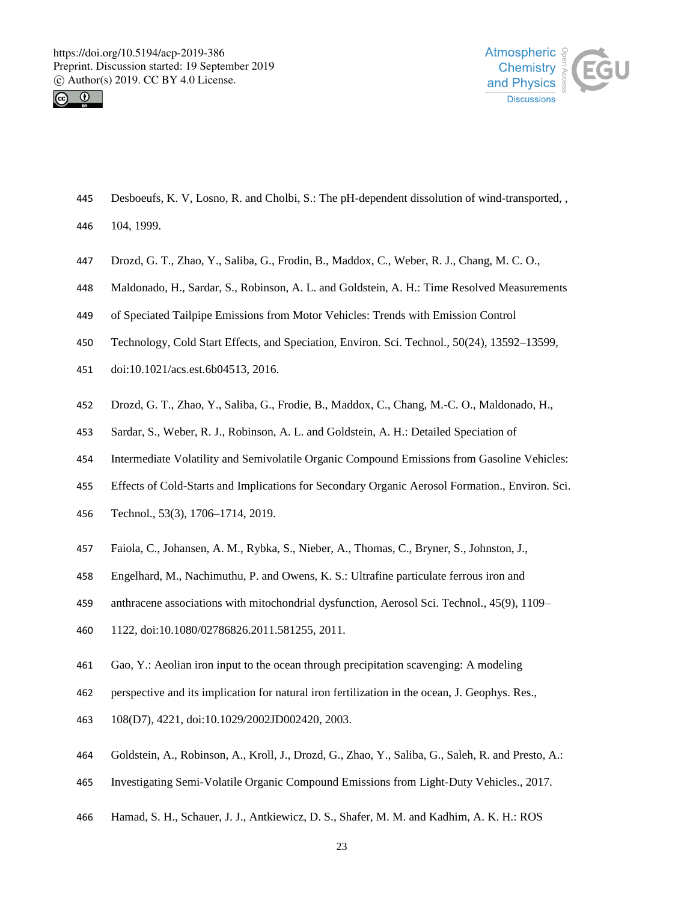



- Desboeufs, K. V, Losno, R. and Cholbi, S.: The pH-dependent dissolution of wind-transported, ,
- 104, 1999.
- Drozd, G. T., Zhao, Y., Saliba, G., Frodin, B., Maddox, C., Weber, R. J., Chang, M. C. O.,
- Maldonado, H., Sardar, S., Robinson, A. L. and Goldstein, A. H.: Time Resolved Measurements
- of Speciated Tailpipe Emissions from Motor Vehicles: Trends with Emission Control
- Technology, Cold Start Effects, and Speciation, Environ. Sci. Technol., 50(24), 13592–13599,
- doi:10.1021/acs.est.6b04513, 2016.
- Drozd, G. T., Zhao, Y., Saliba, G., Frodie, B., Maddox, C., Chang, M.-C. O., Maldonado, H.,
- Sardar, S., Weber, R. J., Robinson, A. L. and Goldstein, A. H.: Detailed Speciation of
- Intermediate Volatility and Semivolatile Organic Compound Emissions from Gasoline Vehicles:
- Effects of Cold-Starts and Implications for Secondary Organic Aerosol Formation., Environ. Sci.
- Technol., 53(3), 1706–1714, 2019.
- Faiola, C., Johansen, A. M., Rybka, S., Nieber, A., Thomas, C., Bryner, S., Johnston, J.,
- Engelhard, M., Nachimuthu, P. and Owens, K. S.: Ultrafine particulate ferrous iron and
- anthracene associations with mitochondrial dysfunction, Aerosol Sci. Technol., 45(9), 1109–
- 1122, doi:10.1080/02786826.2011.581255, 2011.
- Gao, Y.: Aeolian iron input to the ocean through precipitation scavenging: A modeling
- perspective and its implication for natural iron fertilization in the ocean, J. Geophys. Res.,
- 108(D7), 4221, doi:10.1029/2002JD002420, 2003.
- Goldstein, A., Robinson, A., Kroll, J., Drozd, G., Zhao, Y., Saliba, G., Saleh, R. and Presto, A.:
- Investigating Semi-Volatile Organic Compound Emissions from Light-Duty Vehicles., 2017.
- Hamad, S. H., Schauer, J. J., Antkiewicz, D. S., Shafer, M. M. and Kadhim, A. K. H.: ROS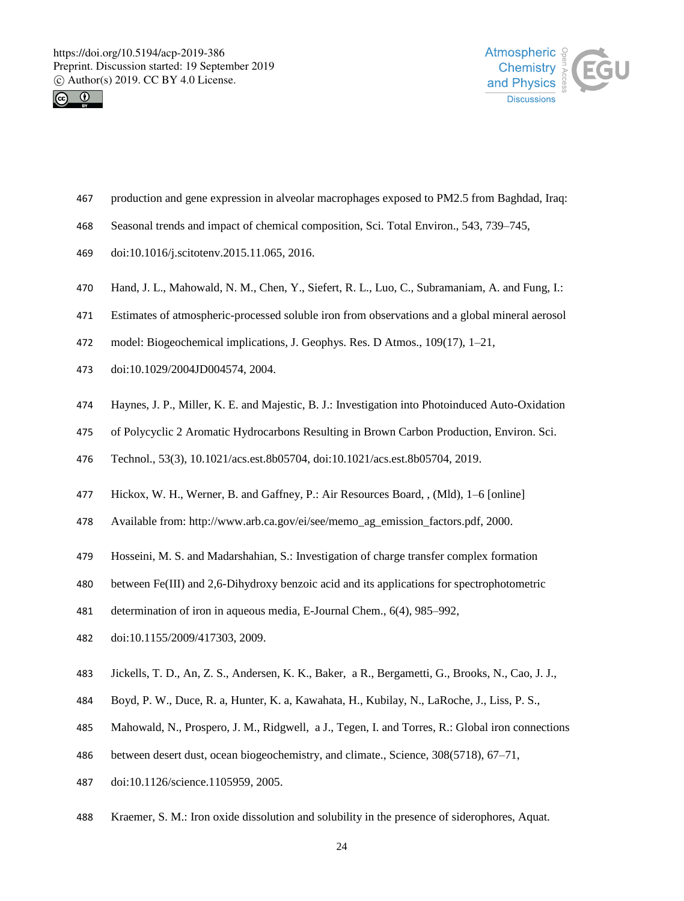



- production and gene expression in alveolar macrophages exposed to PM2.5 from Baghdad, Iraq:
- Seasonal trends and impact of chemical composition, Sci. Total Environ., 543, 739–745,
- doi:10.1016/j.scitotenv.2015.11.065, 2016.
- Hand, J. L., Mahowald, N. M., Chen, Y., Siefert, R. L., Luo, C., Subramaniam, A. and Fung, I.:
- Estimates of atmospheric-processed soluble iron from observations and a global mineral aerosol
- model: Biogeochemical implications, J. Geophys. Res. D Atmos., 109(17), 1–21,
- doi:10.1029/2004JD004574, 2004.
- Haynes, J. P., Miller, K. E. and Majestic, B. J.: Investigation into Photoinduced Auto-Oxidation
- of Polycyclic 2 Aromatic Hydrocarbons Resulting in Brown Carbon Production, Environ. Sci.
- Technol., 53(3), 10.1021/acs.est.8b05704, doi:10.1021/acs.est.8b05704, 2019.
- Hickox, W. H., Werner, B. and Gaffney, P.: Air Resources Board, , (Mld), 1–6 [online]
- Available from: http://www.arb.ca.gov/ei/see/memo\_ag\_emission\_factors.pdf, 2000.
- Hosseini, M. S. and Madarshahian, S.: Investigation of charge transfer complex formation
- between Fe(III) and 2,6-Dihydroxy benzoic acid and its applications for spectrophotometric
- determination of iron in aqueous media, E-Journal Chem., 6(4), 985–992,
- doi:10.1155/2009/417303, 2009.
- Jickells, T. D., An, Z. S., Andersen, K. K., Baker, a R., Bergametti, G., Brooks, N., Cao, J. J.,
- Boyd, P. W., Duce, R. a, Hunter, K. a, Kawahata, H., Kubilay, N., LaRoche, J., Liss, P. S.,
- Mahowald, N., Prospero, J. M., Ridgwell, a J., Tegen, I. and Torres, R.: Global iron connections
- between desert dust, ocean biogeochemistry, and climate., Science, 308(5718), 67–71,
- doi:10.1126/science.1105959, 2005.
- Kraemer, S. M.: Iron oxide dissolution and solubility in the presence of siderophores, Aquat.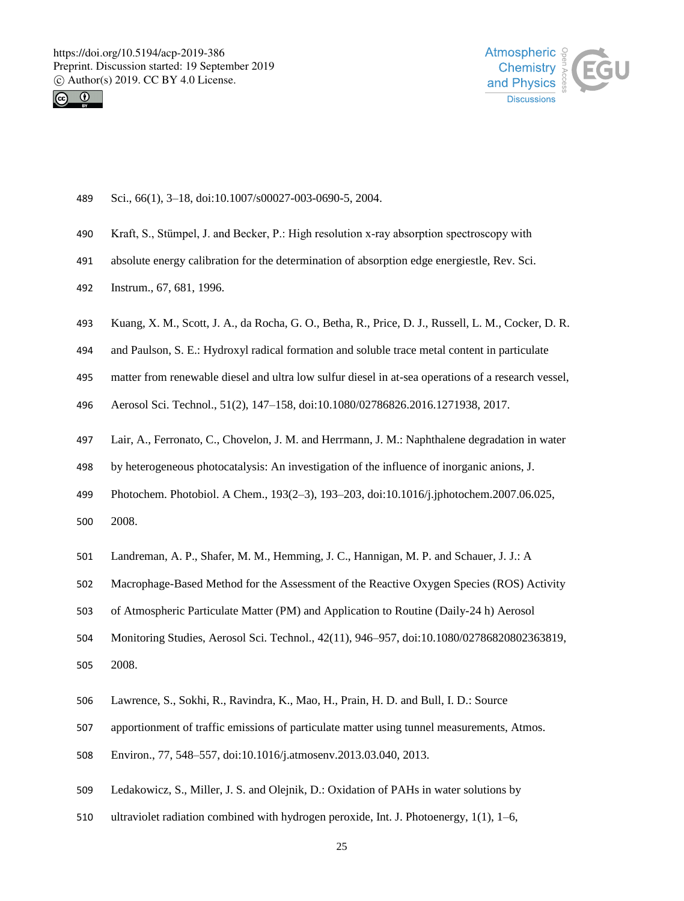



- Sci., 66(1), 3–18, doi:10.1007/s00027-003-0690-5, 2004.
- Kraft, S., Stümpel, J. and Becker, P.: High resolution x‐ray absorption spectroscopy with
- absolute energy calibration for the determination of absorption edge energiestle, Rev. Sci.
- Instrum., 67, 681, 1996.
- Kuang, X. M., Scott, J. A., da Rocha, G. O., Betha, R., Price, D. J., Russell, L. M., Cocker, D. R.
- and Paulson, S. E.: Hydroxyl radical formation and soluble trace metal content in particulate
- matter from renewable diesel and ultra low sulfur diesel in at-sea operations of a research vessel,
- Aerosol Sci. Technol., 51(2), 147–158, doi:10.1080/02786826.2016.1271938, 2017.
- Lair, A., Ferronato, C., Chovelon, J. M. and Herrmann, J. M.: Naphthalene degradation in water
- by heterogeneous photocatalysis: An investigation of the influence of inorganic anions, J.
- Photochem. Photobiol. A Chem., 193(2–3), 193–203, doi:10.1016/j.jphotochem.2007.06.025, 2008.
- Landreman, A. P., Shafer, M. M., Hemming, J. C., Hannigan, M. P. and Schauer, J. J.: A
- Macrophage-Based Method for the Assessment of the Reactive Oxygen Species (ROS) Activity
- of Atmospheric Particulate Matter (PM) and Application to Routine (Daily-24 h) Aerosol
- Monitoring Studies, Aerosol Sci. Technol., 42(11), 946–957, doi:10.1080/02786820802363819, 2008.
- Lawrence, S., Sokhi, R., Ravindra, K., Mao, H., Prain, H. D. and Bull, I. D.: Source
- apportionment of traffic emissions of particulate matter using tunnel measurements, Atmos.
- Environ., 77, 548–557, doi:10.1016/j.atmosenv.2013.03.040, 2013.
- Ledakowicz, S., Miller, J. S. and Olejnik, D.: Oxidation of PAHs in water solutions by
- ultraviolet radiation combined with hydrogen peroxide, Int. J. Photoenergy, 1(1), 1–6,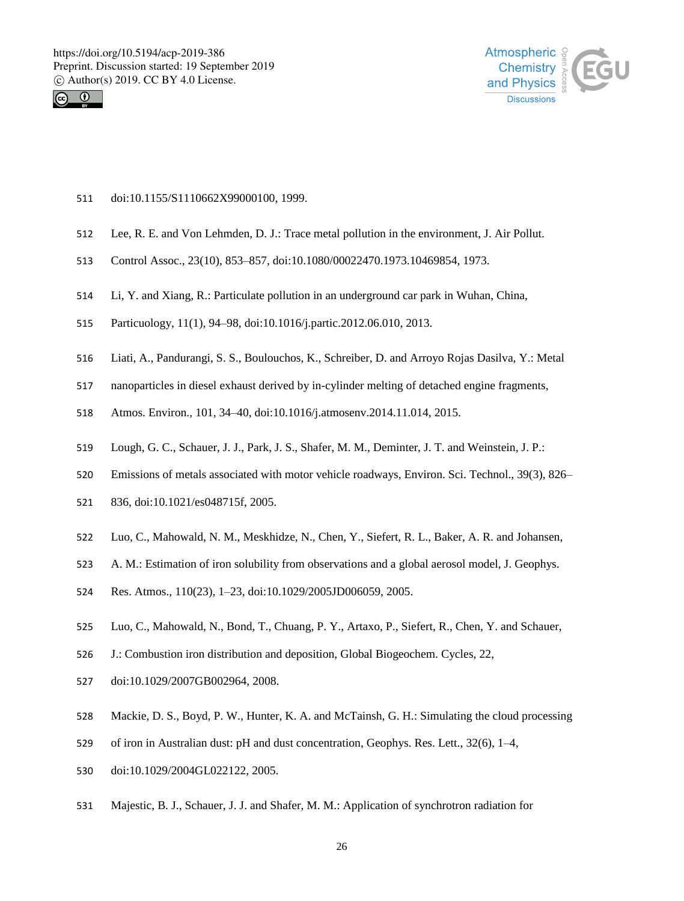



- doi:10.1155/S1110662X99000100, 1999.
- Lee, R. E. and Von Lehmden, D. J.: Trace metal pollution in the environment, J. Air Pollut.
- Control Assoc., 23(10), 853–857, doi:10.1080/00022470.1973.10469854, 1973.
- Li, Y. and Xiang, R.: Particulate pollution in an underground car park in Wuhan, China,
- Particuology, 11(1), 94–98, doi:10.1016/j.partic.2012.06.010, 2013.
- Liati, A., Pandurangi, S. S., Boulouchos, K., Schreiber, D. and Arroyo Rojas Dasilva, Y.: Metal
- nanoparticles in diesel exhaust derived by in-cylinder melting of detached engine fragments,
- Atmos. Environ., 101, 34–40, doi:10.1016/j.atmosenv.2014.11.014, 2015.
- Lough, G. C., Schauer, J. J., Park, J. S., Shafer, M. M., Deminter, J. T. and Weinstein, J. P.:
- Emissions of metals associated with motor vehicle roadways, Environ. Sci. Technol., 39(3), 826–
- 836, doi:10.1021/es048715f, 2005.
- Luo, C., Mahowald, N. M., Meskhidze, N., Chen, Y., Siefert, R. L., Baker, A. R. and Johansen,
- A. M.: Estimation of iron solubility from observations and a global aerosol model, J. Geophys.
- Res. Atmos., 110(23), 1–23, doi:10.1029/2005JD006059, 2005.
- Luo, C., Mahowald, N., Bond, T., Chuang, P. Y., Artaxo, P., Siefert, R., Chen, Y. and Schauer,
- J.: Combustion iron distribution and deposition, Global Biogeochem. Cycles, 22,
- doi:10.1029/2007GB002964, 2008.
- Mackie, D. S., Boyd, P. W., Hunter, K. A. and McTainsh, G. H.: Simulating the cloud processing
- of iron in Australian dust: pH and dust concentration, Geophys. Res. Lett., 32(6), 1–4,
- doi:10.1029/2004GL022122, 2005.
- Majestic, B. J., Schauer, J. J. and Shafer, M. M.: Application of synchrotron radiation for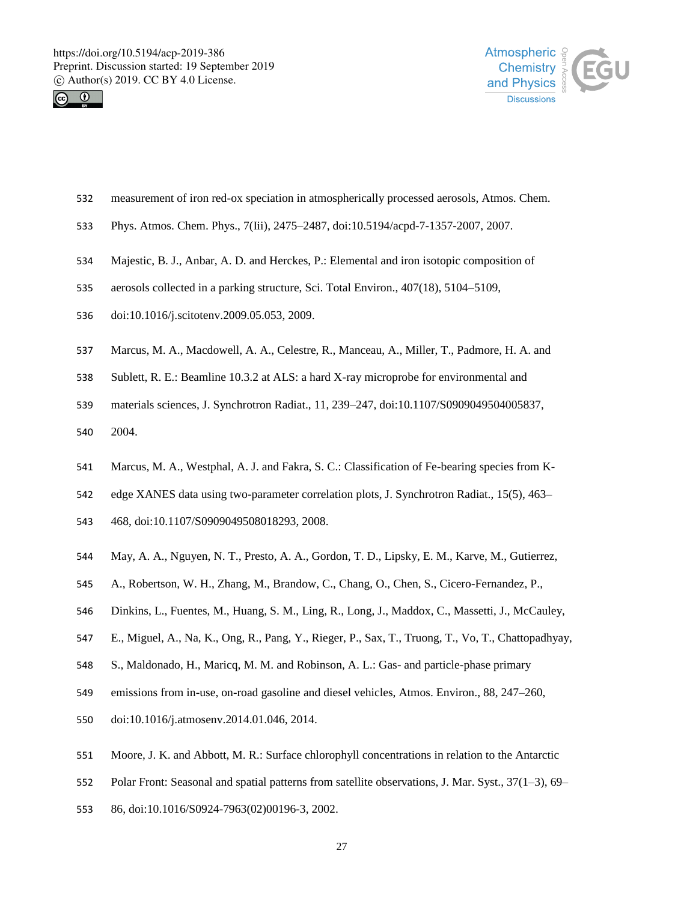



- measurement of iron red-ox speciation in atmospherically processed aerosols, Atmos. Chem.
- Phys. Atmos. Chem. Phys., 7(Iii), 2475–2487, doi:10.5194/acpd-7-1357-2007, 2007.
- Majestic, B. J., Anbar, A. D. and Herckes, P.: Elemental and iron isotopic composition of
- aerosols collected in a parking structure, Sci. Total Environ., 407(18), 5104–5109,
- doi:10.1016/j.scitotenv.2009.05.053, 2009.
- Marcus, M. A., Macdowell, A. A., Celestre, R., Manceau, A., Miller, T., Padmore, H. A. and
- Sublett, R. E.: Beamline 10.3.2 at ALS: a hard X-ray microprobe for environmental and
- materials sciences, J. Synchrotron Radiat., 11, 239–247, doi:10.1107/S0909049504005837,
- 2004.
- Marcus, M. A., Westphal, A. J. and Fakra, S. C.: Classification of Fe-bearing species from K-
- edge XANES data using two-parameter correlation plots, J. Synchrotron Radiat., 15(5), 463–
- 468, doi:10.1107/S0909049508018293, 2008.
- May, A. A., Nguyen, N. T., Presto, A. A., Gordon, T. D., Lipsky, E. M., Karve, M., Gutierrez,
- A., Robertson, W. H., Zhang, M., Brandow, C., Chang, O., Chen, S., Cicero-Fernandez, P.,
- Dinkins, L., Fuentes, M., Huang, S. M., Ling, R., Long, J., Maddox, C., Massetti, J., McCauley,
- E., Miguel, A., Na, K., Ong, R., Pang, Y., Rieger, P., Sax, T., Truong, T., Vo, T., Chattopadhyay,
- S., Maldonado, H., Maricq, M. M. and Robinson, A. L.: Gas- and particle-phase primary
- emissions from in-use, on-road gasoline and diesel vehicles, Atmos. Environ., 88, 247–260,
- doi:10.1016/j.atmosenv.2014.01.046, 2014.
- Moore, J. K. and Abbott, M. R.: Surface chlorophyll concentrations in relation to the Antarctic
- Polar Front: Seasonal and spatial patterns from satellite observations, J. Mar. Syst., 37(1–3), 69–
- 86, doi:10.1016/S0924-7963(02)00196-3, 2002.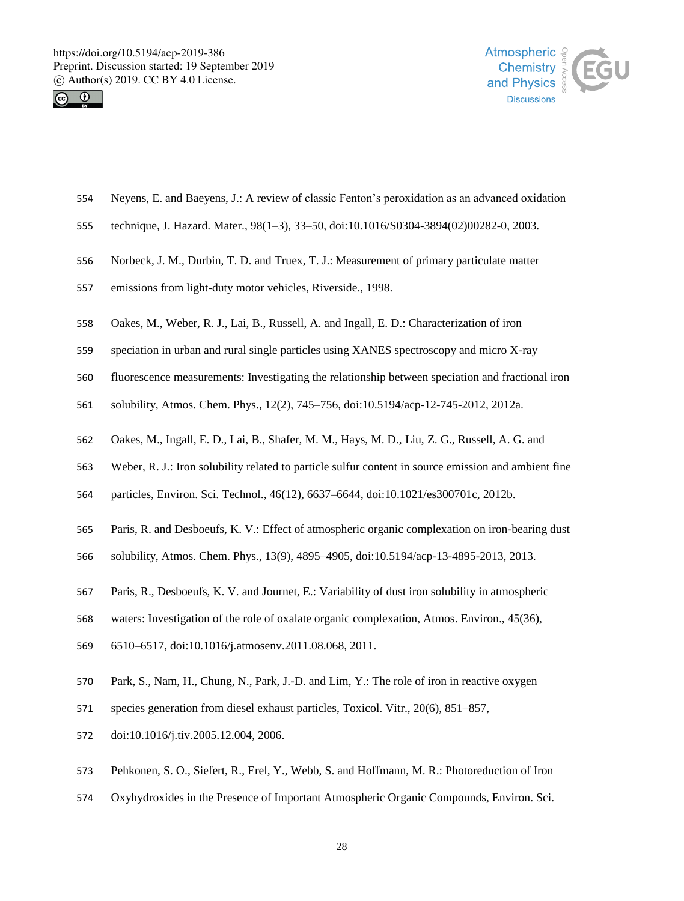



- Neyens, E. and Baeyens, J.: A review of classic Fenton's peroxidation as an advanced oxidation
- technique, J. Hazard. Mater., 98(1–3), 33–50, doi:10.1016/S0304-3894(02)00282-0, 2003.
- Norbeck, J. M., Durbin, T. D. and Truex, T. J.: Measurement of primary particulate matter
- emissions from light-duty motor vehicles, Riverside., 1998.
- Oakes, M., Weber, R. J., Lai, B., Russell, A. and Ingall, E. D.: Characterization of iron
- speciation in urban and rural single particles using XANES spectroscopy and micro X-ray
- fluorescence measurements: Investigating the relationship between speciation and fractional iron
- solubility, Atmos. Chem. Phys., 12(2), 745–756, doi:10.5194/acp-12-745-2012, 2012a.
- Oakes, M., Ingall, E. D., Lai, B., Shafer, M. M., Hays, M. D., Liu, Z. G., Russell, A. G. and
- Weber, R. J.: Iron solubility related to particle sulfur content in source emission and ambient fine
- particles, Environ. Sci. Technol., 46(12), 6637–6644, doi:10.1021/es300701c, 2012b.
- Paris, R. and Desboeufs, K. V.: Effect of atmospheric organic complexation on iron-bearing dust
- solubility, Atmos. Chem. Phys., 13(9), 4895–4905, doi:10.5194/acp-13-4895-2013, 2013.
- Paris, R., Desboeufs, K. V. and Journet, E.: Variability of dust iron solubility in atmospheric
- waters: Investigation of the role of oxalate organic complexation, Atmos. Environ., 45(36),
- 6510–6517, doi:10.1016/j.atmosenv.2011.08.068, 2011.
- Park, S., Nam, H., Chung, N., Park, J.-D. and Lim, Y.: The role of iron in reactive oxygen
- species generation from diesel exhaust particles, Toxicol. Vitr., 20(6), 851–857,
- doi:10.1016/j.tiv.2005.12.004, 2006.
- Pehkonen, S. O., Siefert, R., Erel, Y., Webb, S. and Hoffmann, M. R.: Photoreduction of Iron
- Oxyhydroxides in the Presence of Important Atmospheric Organic Compounds, Environ. Sci.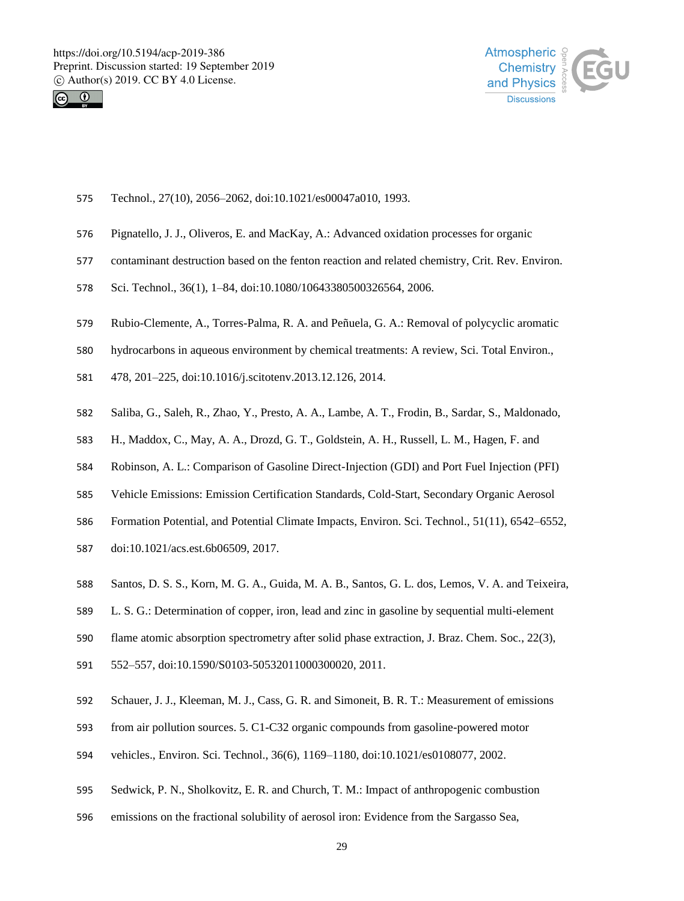



- Technol., 27(10), 2056–2062, doi:10.1021/es00047a010, 1993.
- Pignatello, J. J., Oliveros, E. and MacKay, A.: Advanced oxidation processes for organic
- contaminant destruction based on the fenton reaction and related chemistry, Crit. Rev. Environ.
- Sci. Technol., 36(1), 1–84, doi:10.1080/10643380500326564, 2006.
- Rubio-Clemente, A., Torres-Palma, R. A. and Peñuela, G. A.: Removal of polycyclic aromatic
- hydrocarbons in aqueous environment by chemical treatments: A review, Sci. Total Environ.,
- 478, 201–225, doi:10.1016/j.scitotenv.2013.12.126, 2014.
- Saliba, G., Saleh, R., Zhao, Y., Presto, A. A., Lambe, A. T., Frodin, B., Sardar, S., Maldonado,
- H., Maddox, C., May, A. A., Drozd, G. T., Goldstein, A. H., Russell, L. M., Hagen, F. and
- Robinson, A. L.: Comparison of Gasoline Direct-Injection (GDI) and Port Fuel Injection (PFI)
- Vehicle Emissions: Emission Certification Standards, Cold-Start, Secondary Organic Aerosol
- Formation Potential, and Potential Climate Impacts, Environ. Sci. Technol., 51(11), 6542–6552,
- doi:10.1021/acs.est.6b06509, 2017.
- Santos, D. S. S., Korn, M. G. A., Guida, M. A. B., Santos, G. L. dos, Lemos, V. A. and Teixeira,
- L. S. G.: Determination of copper, iron, lead and zinc in gasoline by sequential multi-element
- flame atomic absorption spectrometry after solid phase extraction, J. Braz. Chem. Soc., 22(3),
- 552–557, doi:10.1590/S0103-50532011000300020, 2011.
- Schauer, J. J., Kleeman, M. J., Cass, G. R. and Simoneit, B. R. T.: Measurement of emissions
- from air pollution sources. 5. C1-C32 organic compounds from gasoline-powered motor
- vehicles., Environ. Sci. Technol., 36(6), 1169–1180, doi:10.1021/es0108077, 2002.
- Sedwick, P. N., Sholkovitz, E. R. and Church, T. M.: Impact of anthropogenic combustion
- emissions on the fractional solubility of aerosol iron: Evidence from the Sargasso Sea,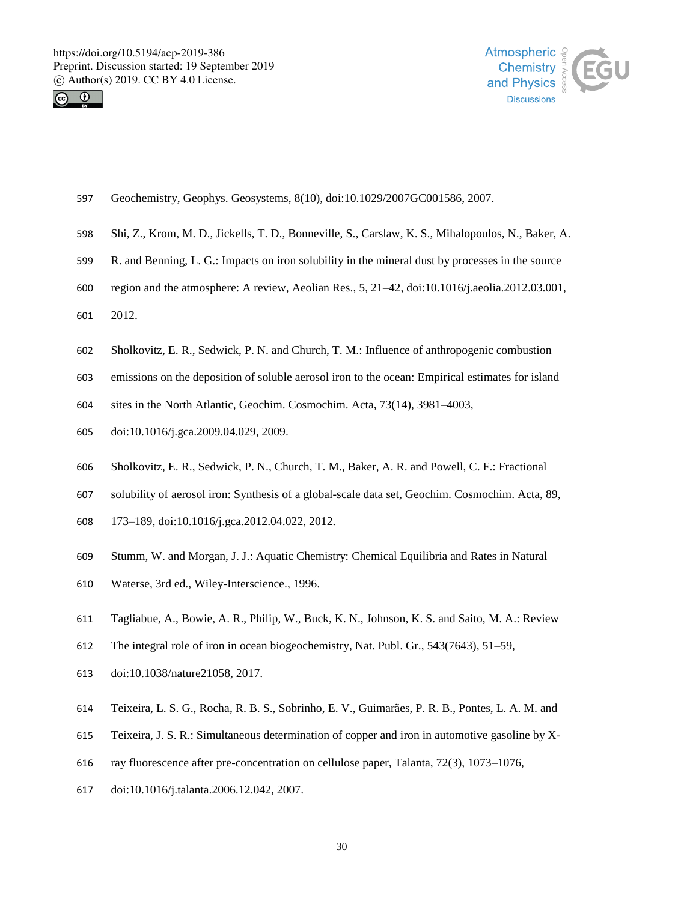



- Geochemistry, Geophys. Geosystems, 8(10), doi:10.1029/2007GC001586, 2007.
- Shi, Z., Krom, M. D., Jickells, T. D., Bonneville, S., Carslaw, K. S., Mihalopoulos, N., Baker, A.
- R. and Benning, L. G.: Impacts on iron solubility in the mineral dust by processes in the source
- region and the atmosphere: A review, Aeolian Res., 5, 21–42, doi:10.1016/j.aeolia.2012.03.001,
- 2012.
- Sholkovitz, E. R., Sedwick, P. N. and Church, T. M.: Influence of anthropogenic combustion
- emissions on the deposition of soluble aerosol iron to the ocean: Empirical estimates for island
- sites in the North Atlantic, Geochim. Cosmochim. Acta, 73(14), 3981–4003,
- doi:10.1016/j.gca.2009.04.029, 2009.
- Sholkovitz, E. R., Sedwick, P. N., Church, T. M., Baker, A. R. and Powell, C. F.: Fractional
- solubility of aerosol iron: Synthesis of a global-scale data set, Geochim. Cosmochim. Acta, 89,
- 173–189, doi:10.1016/j.gca.2012.04.022, 2012.
- Stumm, W. and Morgan, J. J.: Aquatic Chemistry: Chemical Equilibria and Rates in Natural
- Waterse, 3rd ed., Wiley-Interscience., 1996.
- Tagliabue, A., Bowie, A. R., Philip, W., Buck, K. N., Johnson, K. S. and Saito, M. A.: Review
- The integral role of iron in ocean biogeochemistry, Nat. Publ. Gr., 543(7643), 51–59,
- doi:10.1038/nature21058, 2017.
- Teixeira, L. S. G., Rocha, R. B. S., Sobrinho, E. V., Guimarães, P. R. B., Pontes, L. A. M. and
- Teixeira, J. S. R.: Simultaneous determination of copper and iron in automotive gasoline by X-
- ray fluorescence after pre-concentration on cellulose paper, Talanta, 72(3), 1073–1076,
- doi:10.1016/j.talanta.2006.12.042, 2007.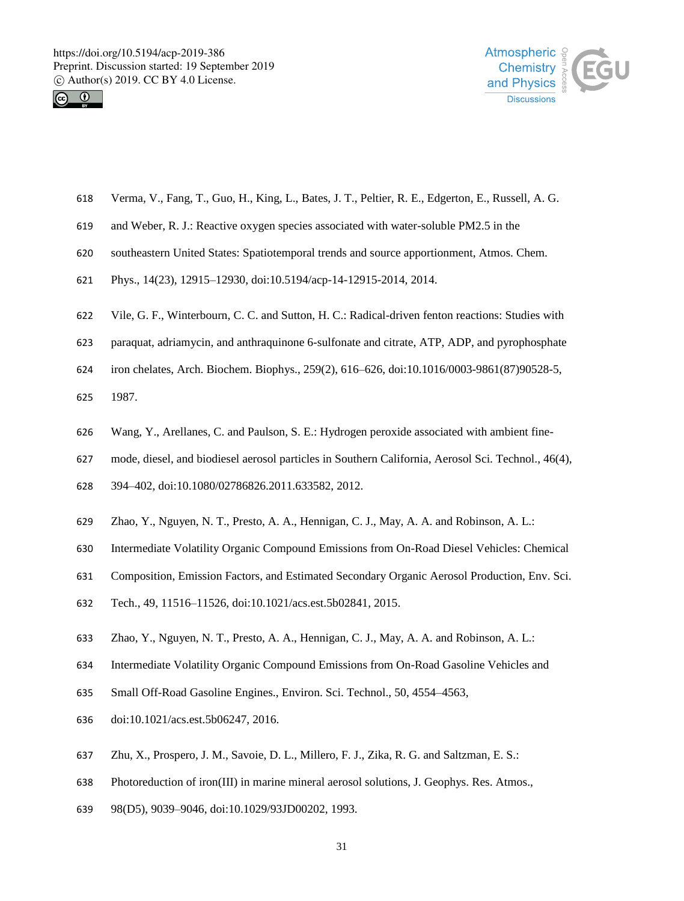



- Verma, V., Fang, T., Guo, H., King, L., Bates, J. T., Peltier, R. E., Edgerton, E., Russell, A. G.
- and Weber, R. J.: Reactive oxygen species associated with water-soluble PM2.5 in the
- southeastern United States: Spatiotemporal trends and source apportionment, Atmos. Chem.
- Phys., 14(23), 12915–12930, doi:10.5194/acp-14-12915-2014, 2014.
- Vile, G. F., Winterbourn, C. C. and Sutton, H. C.: Radical-driven fenton reactions: Studies with
- paraquat, adriamycin, and anthraquinone 6-sulfonate and citrate, ATP, ADP, and pyrophosphate
- iron chelates, Arch. Biochem. Biophys., 259(2), 616–626, doi:10.1016/0003-9861(87)90528-5,
- 1987.
- Wang, Y., Arellanes, C. and Paulson, S. E.: Hydrogen peroxide associated with ambient fine-
- mode, diesel, and biodiesel aerosol particles in Southern California, Aerosol Sci. Technol., 46(4),
- 394–402, doi:10.1080/02786826.2011.633582, 2012.
- Zhao, Y., Nguyen, N. T., Presto, A. A., Hennigan, C. J., May, A. A. and Robinson, A. L.:
- Intermediate Volatility Organic Compound Emissions from On-Road Diesel Vehicles: Chemical
- Composition, Emission Factors, and Estimated Secondary Organic Aerosol Production, Env. Sci.
- Tech., 49, 11516–11526, doi:10.1021/acs.est.5b02841, 2015.
- Zhao, Y., Nguyen, N. T., Presto, A. A., Hennigan, C. J., May, A. A. and Robinson, A. L.:
- Intermediate Volatility Organic Compound Emissions from On-Road Gasoline Vehicles and
- Small Off-Road Gasoline Engines., Environ. Sci. Technol., 50, 4554–4563,
- doi:10.1021/acs.est.5b06247, 2016.
- Zhu, X., Prospero, J. M., Savoie, D. L., Millero, F. J., Zika, R. G. and Saltzman, E. S.:
- Photoreduction of iron(III) in marine mineral aerosol solutions, J. Geophys. Res. Atmos.,
- 98(D5), 9039–9046, doi:10.1029/93JD00202, 1993.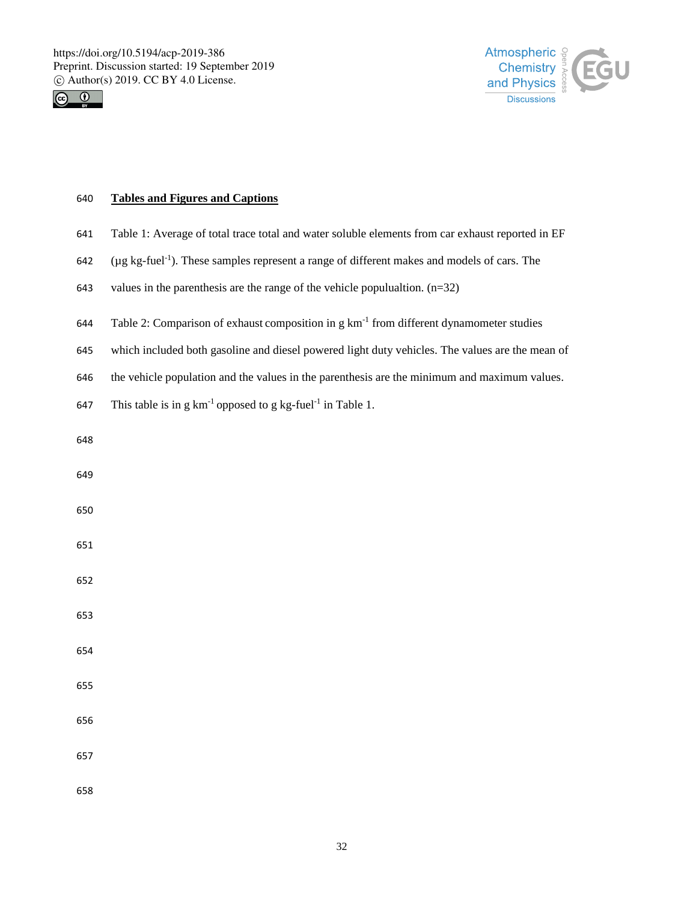



## **Tables and Figures and Captions**

- Table 1: Average of total trace total and water soluble elements from car exhaust reported in EF
- ( $\mu$ g kg-fuel<sup>-1</sup>). These samples represent a range of different makes and models of cars. The
- values in the parenthesis are the range of the vehicle populualtion. (n=32)
- 644 Table 2: Comparison of exhaust composition in g  $km^{-1}$  from different dynamometer studies
- which included both gasoline and diesel powered light duty vehicles. The values are the mean of
- the vehicle population and the values in the parenthesis are the minimum and maximum values.
- 647 This table is in g  $km^{-1}$  opposed to g kg-fuel<sup>-1</sup> in Table 1.
- 
- 
- 
- 
- 
- 
- 
- 
- 
- 
- 
-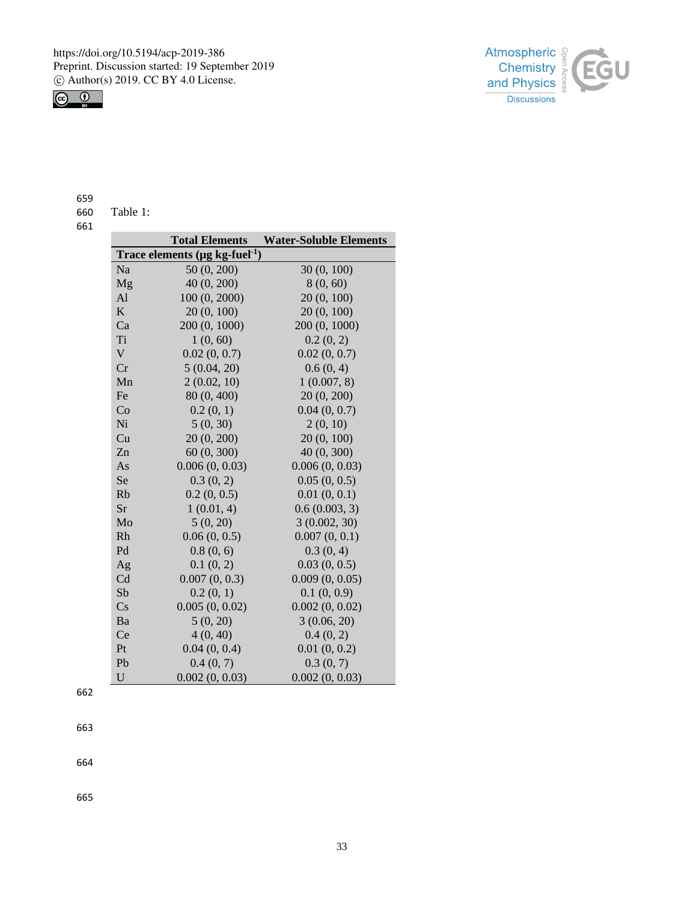



659

| 660 | Table 1: |  |
|-----|----------|--|
|     |          |  |

661

|             | <b>Total Elements</b>                            | <b>Water-Soluble Elements</b> |  |  |
|-------------|--------------------------------------------------|-------------------------------|--|--|
|             | Trace elements ( $\mu$ g kg-fuel <sup>-1</sup> ) |                               |  |  |
| Na          | 50 (0, 200)                                      | 30(0, 100)                    |  |  |
| Mg          | 40 (0, 200)                                      | 8(0, 60)                      |  |  |
| Al          | 100 (0, 2000)                                    | 20(0, 100)                    |  |  |
| K           | 20(0, 100)                                       | 20 (0, 100)                   |  |  |
| Ca          | 200 (0, 1000)                                    | 200 (0, 1000)                 |  |  |
| Ti          | 1(0, 60)                                         | 0.2(0, 2)                     |  |  |
| $\mathbf V$ | 0.02(0, 0.7)                                     | 0.02(0, 0.7)                  |  |  |
| Cr          | 5(0.04, 20)                                      | 0.6(0, 4)                     |  |  |
| Mn          | 2(0.02, 10)                                      | 1(0.007, 8)                   |  |  |
| Fe          | 80 (0, 400)                                      | 20(0, 200)                    |  |  |
| Co          | 0.2(0, 1)                                        | 0.04(0, 0.7)                  |  |  |
| Ni          | 5(0, 30)                                         | 2(0, 10)                      |  |  |
| Cu          | 20 (0, 200)                                      | 20(0, 100)                    |  |  |
| Zn          | 60(0, 300)                                       | 40 (0, 300)                   |  |  |
| As          | 0.006(0, 0.03)                                   | 0.006(0, 0.03)                |  |  |
| Se          | 0.3(0, 2)                                        | 0.05(0, 0.5)                  |  |  |
| Rb          | 0.2(0, 0.5)                                      | 0.01(0, 0.1)                  |  |  |
| Sr          | 1(0.01, 4)                                       | 0.6(0.003, 3)                 |  |  |
| Mo          | 5(0, 20)                                         | 3(0.002, 30)                  |  |  |
| Rh          | 0.06(0, 0.5)                                     | 0.007(0, 0.1)                 |  |  |
| Pd          | 0.8(0, 6)                                        | 0.3(0, 4)                     |  |  |
| Ag          | 0.1(0, 2)                                        | 0.03(0, 0.5)                  |  |  |
| Cd          | 0.007(0, 0.3)                                    | 0.009(0, 0.05)                |  |  |
| Sb          | 0.2(0, 1)                                        | 0.1(0, 0.9)                   |  |  |
| Cs          | 0.005(0, 0.02)                                   | 0.002(0, 0.02)                |  |  |
| Ba          | 5(0, 20)                                         | 3(0.06, 20)                   |  |  |
| Ce          | 4(0, 40)                                         | 0.4(0, 2)                     |  |  |
| Pt          | 0.04(0, 0.4)                                     | 0.01(0, 0.2)                  |  |  |
| Pb          | 0.4(0, 7)                                        | 0.3(0, 7)                     |  |  |
| U           | 0.002(0, 0.03)                                   | 0.002(0, 0.03)                |  |  |

662

663

664